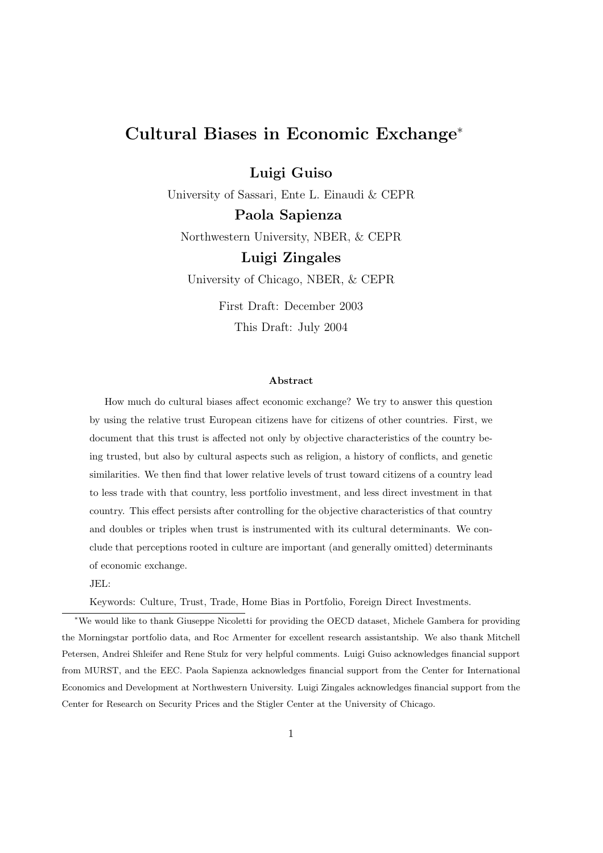## Cultural Biases in Economic Exchange<sup>∗</sup>

Luigi Guiso

University of Sassari, Ente L. Einaudi & CEPR Paola Sapienza

Northwestern University, NBER, & CEPR

## Luigi Zingales

University of Chicago, NBER, & CEPR

First Draft: December 2003 This Draft: July 2004

#### Abstract

How much do cultural biases affect economic exchange? We try to answer this question by using the relative trust European citizens have for citizens of other countries. First, we document that this trust is affected not only by objective characteristics of the country being trusted, but also by cultural aspects such as religion, a history of conflicts, and genetic similarities. We then find that lower relative levels of trust toward citizens of a country lead to less trade with that country, less portfolio investment, and less direct investment in that country. This effect persists after controlling for the objective characteristics of that country and doubles or triples when trust is instrumented with its cultural determinants. We conclude that perceptions rooted in culture are important (and generally omitted) determinants of economic exchange.

#### JEL:

Keywords: Culture, Trust, Trade, Home Bias in Portfolio, Foreign Direct Investments.

<sup>∗</sup>We would like to thank Giuseppe Nicoletti for providing the OECD dataset, Michele Gambera for providing the Morningstar portfolio data, and Roc Armenter for excellent research assistantship. We also thank Mitchell Petersen, Andrei Shleifer and Rene Stulz for very helpful comments. Luigi Guiso acknowledges financial support from MURST, and the EEC. Paola Sapienza acknowledges financial support from the Center for International Economics and Development at Northwestern University. Luigi Zingales acknowledges financial support from the Center for Research on Security Prices and the Stigler Center at the University of Chicago.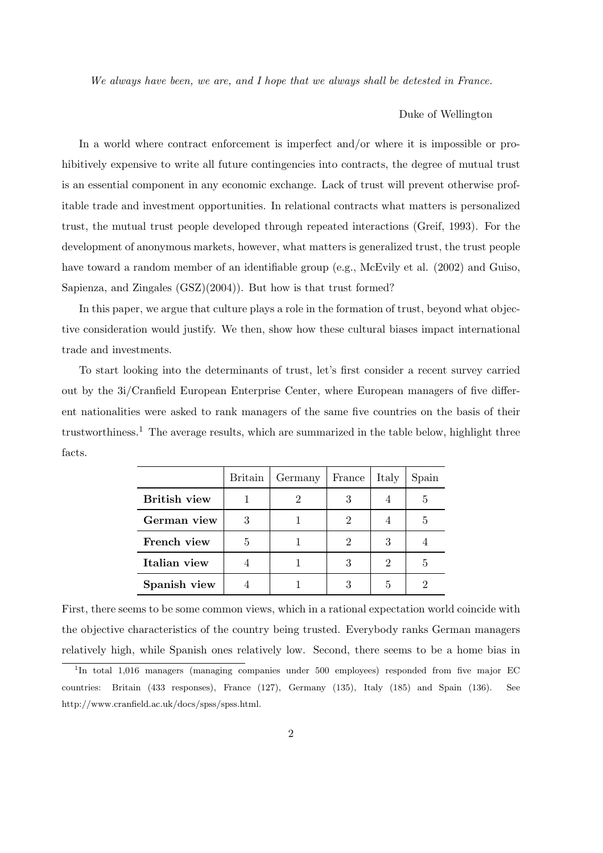We always have been, we are, and I hope that we always shall be detested in France.

#### Duke of Wellington

In a world where contract enforcement is imperfect and/or where it is impossible or prohibitively expensive to write all future contingencies into contracts, the degree of mutual trust is an essential component in any economic exchange. Lack of trust will prevent otherwise profitable trade and investment opportunities. In relational contracts what matters is personalized trust, the mutual trust people developed through repeated interactions (Greif, 1993). For the development of anonymous markets, however, what matters is generalized trust, the trust people have toward a random member of an identifiable group (e.g., McEvily et al. (2002) and Guiso, Sapienza, and Zingales (GSZ)(2004)). But how is that trust formed?

In this paper, we argue that culture plays a role in the formation of trust, beyond what objective consideration would justify. We then, show how these cultural biases impact international trade and investments.

To start looking into the determinants of trust, let's first consider a recent survey carried out by the 3i/Cranfield European Enterprise Center, where European managers of five different nationalities were asked to rank managers of the same five countries on the basis of their trustworthiness.<sup>1</sup> The average results, which are summarized in the table below, highlight three facts.

|                     | <b>Britain</b> | Germany | France | Italy | Spain |
|---------------------|----------------|---------|--------|-------|-------|
| <b>British view</b> |                |         |        |       | 5     |
| German view         | 3              |         |        |       | 5     |
| French view         | 5              |         |        |       |       |
| Italian view        |                |         |        |       | 5     |
| Spanish view        |                |         |        | 5     |       |

First, there seems to be some common views, which in a rational expectation world coincide with the objective characteristics of the country being trusted. Everybody ranks German managers relatively high, while Spanish ones relatively low. Second, there seems to be a home bias in

<sup>&</sup>lt;sup>1</sup>In total 1,016 managers (managing companies under 500 employees) responded from five major EC countries: Britain (433 responses), France (127), Germany (135), Italy (185) and Spain (136). See http://www.cranfield.ac.uk/docs/spss/spss.html.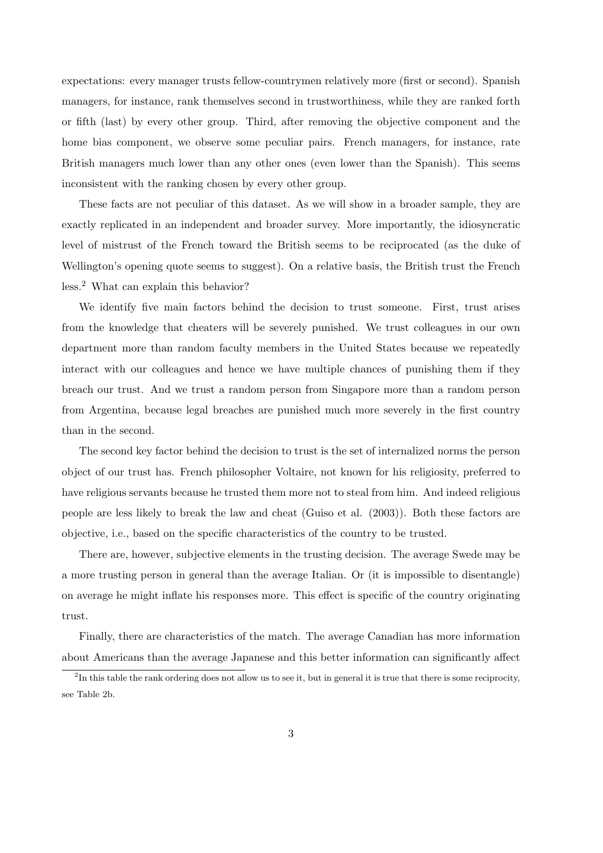expectations: every manager trusts fellow-countrymen relatively more (first or second). Spanish managers, for instance, rank themselves second in trustworthiness, while they are ranked forth or fifth (last) by every other group. Third, after removing the objective component and the home bias component, we observe some peculiar pairs. French managers, for instance, rate British managers much lower than any other ones (even lower than the Spanish). This seems inconsistent with the ranking chosen by every other group.

These facts are not peculiar of this dataset. As we will show in a broader sample, they are exactly replicated in an independent and broader survey. More importantly, the idiosyncratic level of mistrust of the French toward the British seems to be reciprocated (as the duke of Wellington's opening quote seems to suggest). On a relative basis, the British trust the French less.<sup>2</sup> What can explain this behavior?

We identify five main factors behind the decision to trust someone. First, trust arises from the knowledge that cheaters will be severely punished. We trust colleagues in our own department more than random faculty members in the United States because we repeatedly interact with our colleagues and hence we have multiple chances of punishing them if they breach our trust. And we trust a random person from Singapore more than a random person from Argentina, because legal breaches are punished much more severely in the first country than in the second.

The second key factor behind the decision to trust is the set of internalized norms the person object of our trust has. French philosopher Voltaire, not known for his religiosity, preferred to have religious servants because he trusted them more not to steal from him. And indeed religious people are less likely to break the law and cheat (Guiso et al. (2003)). Both these factors are objective, i.e., based on the specific characteristics of the country to be trusted.

There are, however, subjective elements in the trusting decision. The average Swede may be a more trusting person in general than the average Italian. Or (it is impossible to disentangle) on average he might inflate his responses more. This effect is specific of the country originating trust.

Finally, there are characteristics of the match. The average Canadian has more information about Americans than the average Japanese and this better information can significantly affect

 ${}^{2}$ In this table the rank ordering does not allow us to see it, but in general it is true that there is some reciprocity, see Table 2b.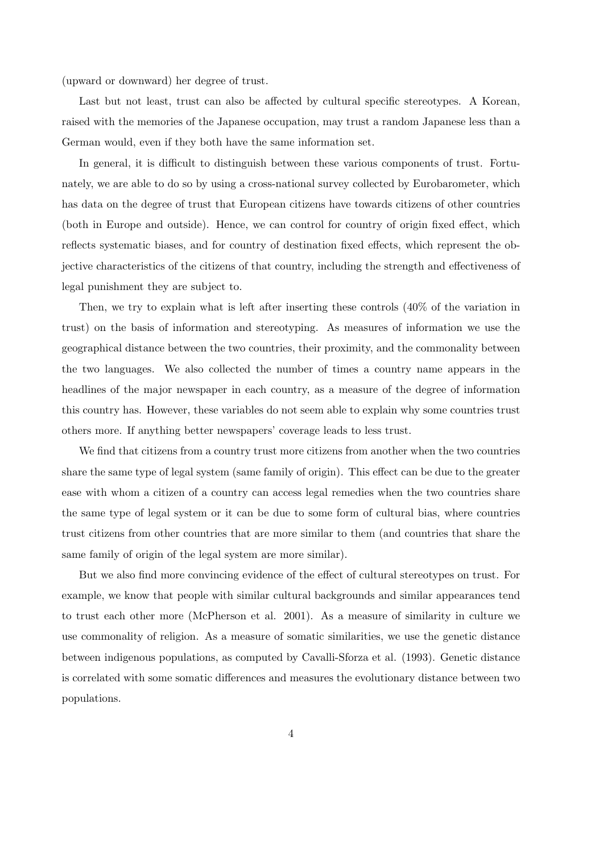(upward or downward) her degree of trust.

Last but not least, trust can also be affected by cultural specific stereotypes. A Korean, raised with the memories of the Japanese occupation, may trust a random Japanese less than a German would, even if they both have the same information set.

In general, it is difficult to distinguish between these various components of trust. Fortunately, we are able to do so by using a cross-national survey collected by Eurobarometer, which has data on the degree of trust that European citizens have towards citizens of other countries (both in Europe and outside). Hence, we can control for country of origin fixed effect, which reflects systematic biases, and for country of destination fixed effects, which represent the objective characteristics of the citizens of that country, including the strength and effectiveness of legal punishment they are subject to.

Then, we try to explain what is left after inserting these controls (40% of the variation in trust) on the basis of information and stereotyping. As measures of information we use the geographical distance between the two countries, their proximity, and the commonality between the two languages. We also collected the number of times a country name appears in the headlines of the major newspaper in each country, as a measure of the degree of information this country has. However, these variables do not seem able to explain why some countries trust others more. If anything better newspapers' coverage leads to less trust.

We find that citizens from a country trust more citizens from another when the two countries share the same type of legal system (same family of origin). This effect can be due to the greater ease with whom a citizen of a country can access legal remedies when the two countries share the same type of legal system or it can be due to some form of cultural bias, where countries trust citizens from other countries that are more similar to them (and countries that share the same family of origin of the legal system are more similar).

But we also find more convincing evidence of the effect of cultural stereotypes on trust. For example, we know that people with similar cultural backgrounds and similar appearances tend to trust each other more (McPherson et al. 2001). As a measure of similarity in culture we use commonality of religion. As a measure of somatic similarities, we use the genetic distance between indigenous populations, as computed by Cavalli-Sforza et al. (1993). Genetic distance is correlated with some somatic differences and measures the evolutionary distance between two populations.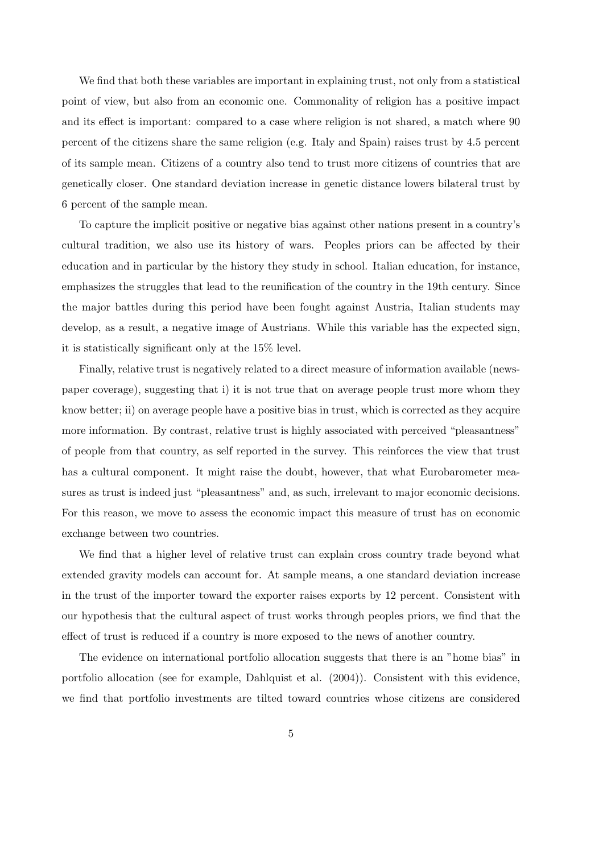We find that both these variables are important in explaining trust, not only from a statistical point of view, but also from an economic one. Commonality of religion has a positive impact and its effect is important: compared to a case where religion is not shared, a match where 90 percent of the citizens share the same religion (e.g. Italy and Spain) raises trust by 4.5 percent of its sample mean. Citizens of a country also tend to trust more citizens of countries that are genetically closer. One standard deviation increase in genetic distance lowers bilateral trust by 6 percent of the sample mean.

To capture the implicit positive or negative bias against other nations present in a country's cultural tradition, we also use its history of wars. Peoples priors can be affected by their education and in particular by the history they study in school. Italian education, for instance, emphasizes the struggles that lead to the reunification of the country in the 19th century. Since the major battles during this period have been fought against Austria, Italian students may develop, as a result, a negative image of Austrians. While this variable has the expected sign, it is statistically significant only at the 15% level.

Finally, relative trust is negatively related to a direct measure of information available (newspaper coverage), suggesting that i) it is not true that on average people trust more whom they know better; ii) on average people have a positive bias in trust, which is corrected as they acquire more information. By contrast, relative trust is highly associated with perceived "pleasantness" of people from that country, as self reported in the survey. This reinforces the view that trust has a cultural component. It might raise the doubt, however, that what Eurobarometer measures as trust is indeed just "pleasantness" and, as such, irrelevant to major economic decisions. For this reason, we move to assess the economic impact this measure of trust has on economic exchange between two countries.

We find that a higher level of relative trust can explain cross country trade beyond what extended gravity models can account for. At sample means, a one standard deviation increase in the trust of the importer toward the exporter raises exports by 12 percent. Consistent with our hypothesis that the cultural aspect of trust works through peoples priors, we find that the effect of trust is reduced if a country is more exposed to the news of another country.

The evidence on international portfolio allocation suggests that there is an "home bias" in portfolio allocation (see for example, Dahlquist et al. (2004)). Consistent with this evidence, we find that portfolio investments are tilted toward countries whose citizens are considered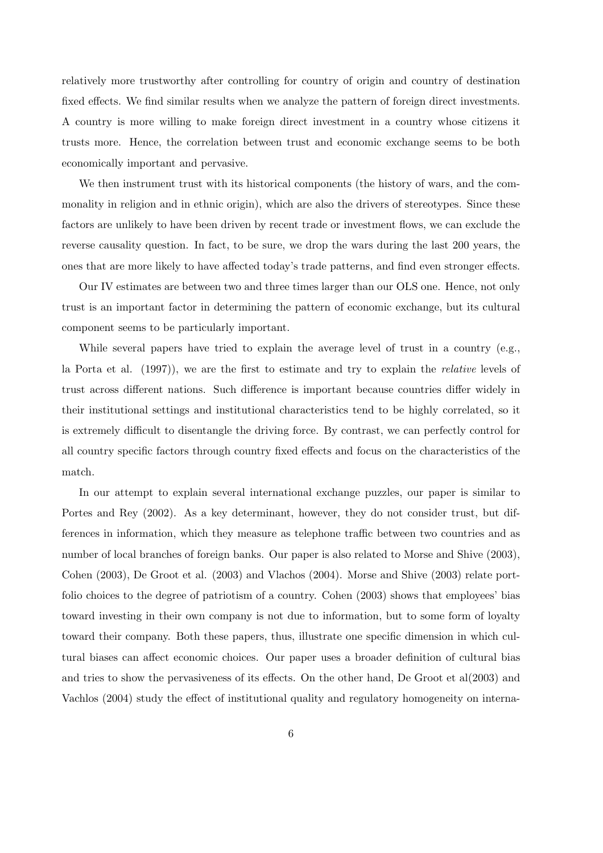relatively more trustworthy after controlling for country of origin and country of destination fixed effects. We find similar results when we analyze the pattern of foreign direct investments. A country is more willing to make foreign direct investment in a country whose citizens it trusts more. Hence, the correlation between trust and economic exchange seems to be both economically important and pervasive.

We then instrument trust with its historical components (the history of wars, and the commonality in religion and in ethnic origin), which are also the drivers of stereotypes. Since these factors are unlikely to have been driven by recent trade or investment flows, we can exclude the reverse causality question. In fact, to be sure, we drop the wars during the last 200 years, the ones that are more likely to have affected today's trade patterns, and find even stronger effects.

Our IV estimates are between two and three times larger than our OLS one. Hence, not only trust is an important factor in determining the pattern of economic exchange, but its cultural component seems to be particularly important.

While several papers have tried to explain the average level of trust in a country (e.g., la Porta et al. (1997)), we are the first to estimate and try to explain the relative levels of trust across different nations. Such difference is important because countries differ widely in their institutional settings and institutional characteristics tend to be highly correlated, so it is extremely difficult to disentangle the driving force. By contrast, we can perfectly control for all country specific factors through country fixed effects and focus on the characteristics of the match.

In our attempt to explain several international exchange puzzles, our paper is similar to Portes and Rey (2002). As a key determinant, however, they do not consider trust, but differences in information, which they measure as telephone traffic between two countries and as number of local branches of foreign banks. Our paper is also related to Morse and Shive (2003), Cohen (2003), De Groot et al. (2003) and Vlachos (2004). Morse and Shive (2003) relate portfolio choices to the degree of patriotism of a country. Cohen (2003) shows that employees' bias toward investing in their own company is not due to information, but to some form of loyalty toward their company. Both these papers, thus, illustrate one specific dimension in which cultural biases can affect economic choices. Our paper uses a broader definition of cultural bias and tries to show the pervasiveness of its effects. On the other hand, De Groot et al(2003) and Vachlos (2004) study the effect of institutional quality and regulatory homogeneity on interna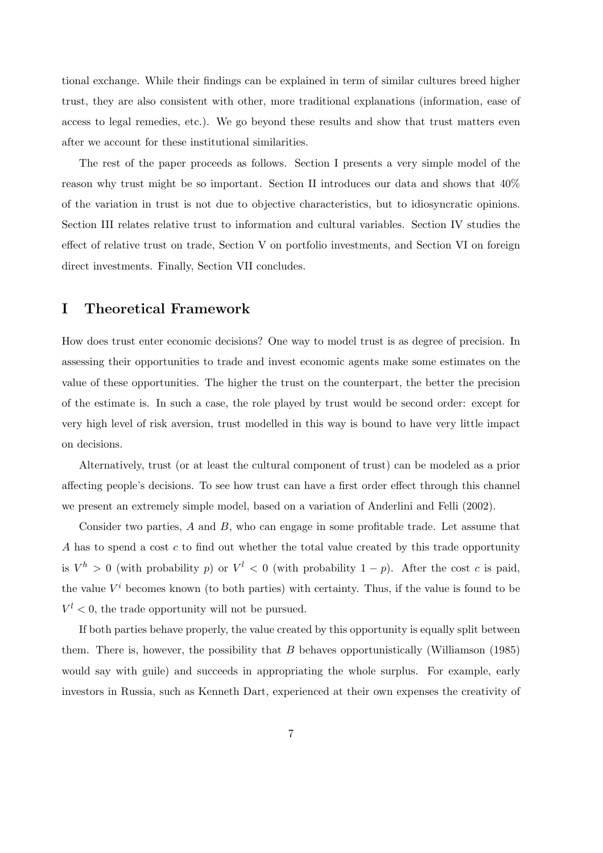tional exchange. While their findings can be explained in term of similar cultures breed higher trust, they are also consistent with other, more traditional explanations (information, ease of access to legal remedies, etc.). We go beyond these results and show that trust matters even after we account for these institutional similarities.

The rest of the paper proceeds as follows. Section I presents a very simple model of the reason why trust might be so important. Section II introduces our data and shows that 40% of the variation in trust is not due to objective characteristics, but to idiosyncratic opinions. Section III relates relative trust to information and cultural variables. Section IV studies the effect of relative trust on trade, Section V on portfolio investments, and Section VI on foreign direct investments. Finally, Section VII concludes.

## I Theoretical Framework

How does trust enter economic decisions? One way to model trust is as degree of precision. In assessing their opportunities to trade and invest economic agents make some estimates on the value of these opportunities. The higher the trust on the counterpart, the better the precision of the estimate is. In such a case, the role played by trust would be second order: except for very high level of risk aversion, trust modelled in this way is bound to have very little impact on decisions.

Alternatively, trust (or at least the cultural component of trust) can be modeled as a prior affecting people's decisions. To see how trust can have a first order effect through this channel we present an extremely simple model, based on a variation of Anderlini and Felli (2002).

Consider two parties, A and B, who can engage in some profitable trade. Let assume that A has to spend a cost c to find out whether the total value created by this trade opportunity is  $V^h > 0$  (with probability p) or  $V^l < 0$  (with probability  $1 - p$ ). After the cost c is paid, the value  $V^i$  becomes known (to both parties) with certainty. Thus, if the value is found to be  $V^l$  < 0, the trade opportunity will not be pursued.

If both parties behave properly, the value created by this opportunity is equally split between them. There is, however, the possibility that  $B$  behaves opportunistically (Williamson (1985) would say with guile) and succeeds in appropriating the whole surplus. For example, early investors in Russia, such as Kenneth Dart, experienced at their own expenses the creativity of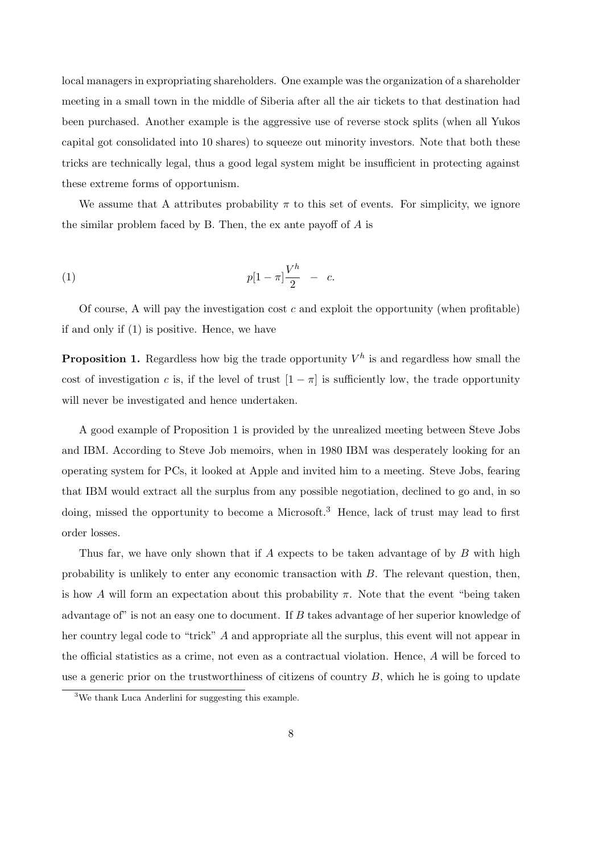local managers in expropriating shareholders. One example was the organization of a shareholder meeting in a small town in the middle of Siberia after all the air tickets to that destination had been purchased. Another example is the aggressive use of reverse stock splits (when all Yukos capital got consolidated into 10 shares) to squeeze out minority investors. Note that both these tricks are technically legal, thus a good legal system might be insufficient in protecting against these extreme forms of opportunism.

We assume that A attributes probability  $\pi$  to this set of events. For simplicity, we ignore the similar problem faced by B. Then, the ex ante payoff of A is

(1) 
$$
p[1-\pi]\frac{V^h}{2} - c.
$$

Of course, A will pay the investigation cost  $c$  and exploit the opportunity (when profitable) if and only if (1) is positive. Hence, we have

**Proposition 1.** Regardless how big the trade opportunity  $V^h$  is and regardless how small the cost of investigation c is, if the level of trust  $[1 - \pi]$  is sufficiently low, the trade opportunity will never be investigated and hence undertaken.

A good example of Proposition 1 is provided by the unrealized meeting between Steve Jobs and IBM. According to Steve Job memoirs, when in 1980 IBM was desperately looking for an operating system for PCs, it looked at Apple and invited him to a meeting. Steve Jobs, fearing that IBM would extract all the surplus from any possible negotiation, declined to go and, in so doing, missed the opportunity to become a Microsoft.<sup>3</sup> Hence, lack of trust may lead to first order losses.

Thus far, we have only shown that if A expects to be taken advantage of by B with high probability is unlikely to enter any economic transaction with  $B$ . The relevant question, then, is how A will form an expectation about this probability  $\pi$ . Note that the event "being taken" advantage of" is not an easy one to document. If B takes advantage of her superior knowledge of her country legal code to "trick" A and appropriate all the surplus, this event will not appear in the official statistics as a crime, not even as a contractual violation. Hence, A will be forced to use a generic prior on the trustworthiness of citizens of country  $B$ , which he is going to update

<sup>3</sup>We thank Luca Anderlini for suggesting this example.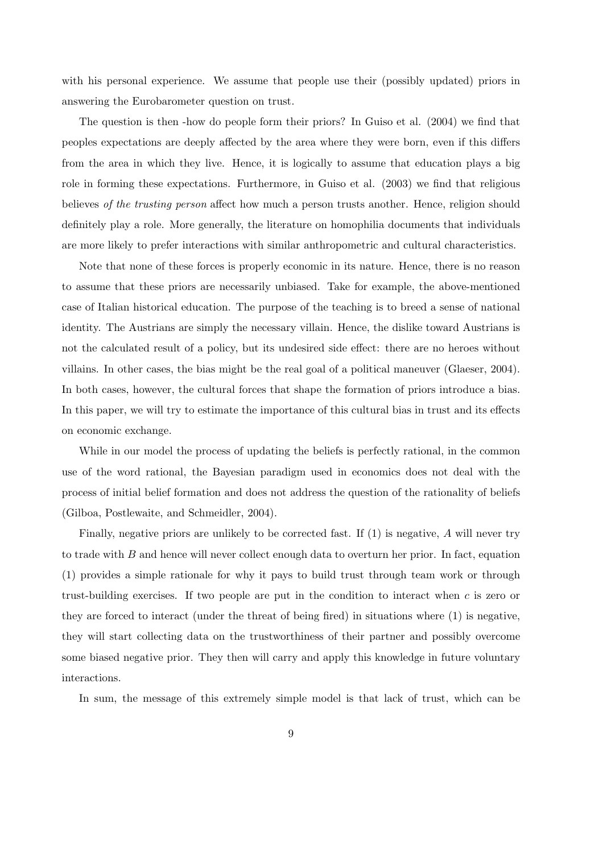with his personal experience. We assume that people use their (possibly updated) priors in answering the Eurobarometer question on trust.

The question is then -how do people form their priors? In Guiso et al. (2004) we find that peoples expectations are deeply affected by the area where they were born, even if this differs from the area in which they live. Hence, it is logically to assume that education plays a big role in forming these expectations. Furthermore, in Guiso et al. (2003) we find that religious believes of the trusting person affect how much a person trusts another. Hence, religion should definitely play a role. More generally, the literature on homophilia documents that individuals are more likely to prefer interactions with similar anthropometric and cultural characteristics.

Note that none of these forces is properly economic in its nature. Hence, there is no reason to assume that these priors are necessarily unbiased. Take for example, the above-mentioned case of Italian historical education. The purpose of the teaching is to breed a sense of national identity. The Austrians are simply the necessary villain. Hence, the dislike toward Austrians is not the calculated result of a policy, but its undesired side effect: there are no heroes without villains. In other cases, the bias might be the real goal of a political maneuver (Glaeser, 2004). In both cases, however, the cultural forces that shape the formation of priors introduce a bias. In this paper, we will try to estimate the importance of this cultural bias in trust and its effects on economic exchange.

While in our model the process of updating the beliefs is perfectly rational, in the common use of the word rational, the Bayesian paradigm used in economics does not deal with the process of initial belief formation and does not address the question of the rationality of beliefs (Gilboa, Postlewaite, and Schmeidler, 2004).

Finally, negative priors are unlikely to be corrected fast. If  $(1)$  is negative, A will never try to trade with  $B$  and hence will never collect enough data to overturn her prior. In fact, equation (1) provides a simple rationale for why it pays to build trust through team work or through trust-building exercises. If two people are put in the condition to interact when  $c$  is zero or they are forced to interact (under the threat of being fired) in situations where (1) is negative, they will start collecting data on the trustworthiness of their partner and possibly overcome some biased negative prior. They then will carry and apply this knowledge in future voluntary interactions.

In sum, the message of this extremely simple model is that lack of trust, which can be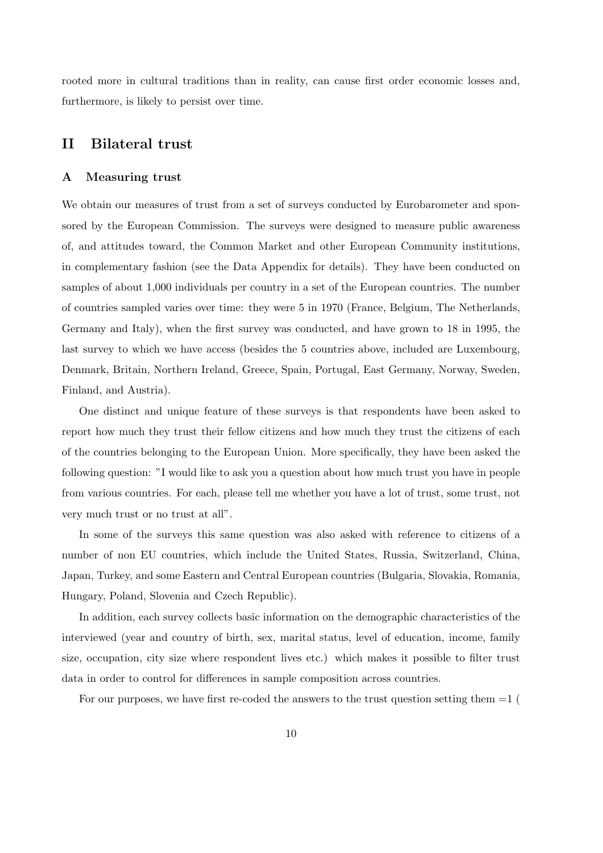rooted more in cultural traditions than in reality, can cause first order economic losses and, furthermore, is likely to persist over time.

## II Bilateral trust

#### A Measuring trust

We obtain our measures of trust from a set of surveys conducted by Eurobarometer and sponsored by the European Commission. The surveys were designed to measure public awareness of, and attitudes toward, the Common Market and other European Community institutions, in complementary fashion (see the Data Appendix for details). They have been conducted on samples of about 1,000 individuals per country in a set of the European countries. The number of countries sampled varies over time: they were 5 in 1970 (France, Belgium, The Netherlands, Germany and Italy), when the first survey was conducted, and have grown to 18 in 1995, the last survey to which we have access (besides the 5 countries above, included are Luxembourg, Denmark, Britain, Northern Ireland, Greece, Spain, Portugal, East Germany, Norway, Sweden, Finland, and Austria).

One distinct and unique feature of these surveys is that respondents have been asked to report how much they trust their fellow citizens and how much they trust the citizens of each of the countries belonging to the European Union. More specifically, they have been asked the following question: "I would like to ask you a question about how much trust you have in people from various countries. For each, please tell me whether you have a lot of trust, some trust, not very much trust or no trust at all".

In some of the surveys this same question was also asked with reference to citizens of a number of non EU countries, which include the United States, Russia, Switzerland, China, Japan, Turkey, and some Eastern and Central European countries (Bulgaria, Slovakia, Romania, Hungary, Poland, Slovenia and Czech Republic).

In addition, each survey collects basic information on the demographic characteristics of the interviewed (year and country of birth, sex, marital status, level of education, income, family size, occupation, city size where respondent lives etc.) which makes it possible to filter trust data in order to control for differences in sample composition across countries.

For our purposes, we have first re-coded the answers to the trust question setting them  $=1$  (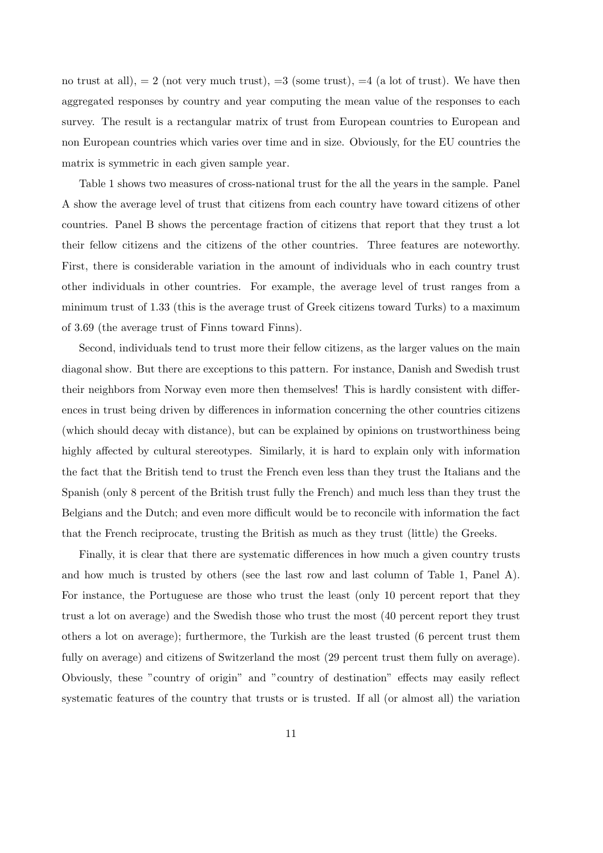no trust at all),  $= 2$  (not very much trust),  $= 3$  (some trust),  $= 4$  (a lot of trust). We have then aggregated responses by country and year computing the mean value of the responses to each survey. The result is a rectangular matrix of trust from European countries to European and non European countries which varies over time and in size. Obviously, for the EU countries the matrix is symmetric in each given sample year.

Table 1 shows two measures of cross-national trust for the all the years in the sample. Panel A show the average level of trust that citizens from each country have toward citizens of other countries. Panel B shows the percentage fraction of citizens that report that they trust a lot their fellow citizens and the citizens of the other countries. Three features are noteworthy. First, there is considerable variation in the amount of individuals who in each country trust other individuals in other countries. For example, the average level of trust ranges from a minimum trust of 1.33 (this is the average trust of Greek citizens toward Turks) to a maximum of 3.69 (the average trust of Finns toward Finns).

Second, individuals tend to trust more their fellow citizens, as the larger values on the main diagonal show. But there are exceptions to this pattern. For instance, Danish and Swedish trust their neighbors from Norway even more then themselves! This is hardly consistent with differences in trust being driven by differences in information concerning the other countries citizens (which should decay with distance), but can be explained by opinions on trustworthiness being highly affected by cultural stereotypes. Similarly, it is hard to explain only with information the fact that the British tend to trust the French even less than they trust the Italians and the Spanish (only 8 percent of the British trust fully the French) and much less than they trust the Belgians and the Dutch; and even more difficult would be to reconcile with information the fact that the French reciprocate, trusting the British as much as they trust (little) the Greeks.

Finally, it is clear that there are systematic differences in how much a given country trusts and how much is trusted by others (see the last row and last column of Table 1, Panel A). For instance, the Portuguese are those who trust the least (only 10 percent report that they trust a lot on average) and the Swedish those who trust the most (40 percent report they trust others a lot on average); furthermore, the Turkish are the least trusted (6 percent trust them fully on average) and citizens of Switzerland the most (29 percent trust them fully on average). Obviously, these "country of origin" and "country of destination" effects may easily reflect systematic features of the country that trusts or is trusted. If all (or almost all) the variation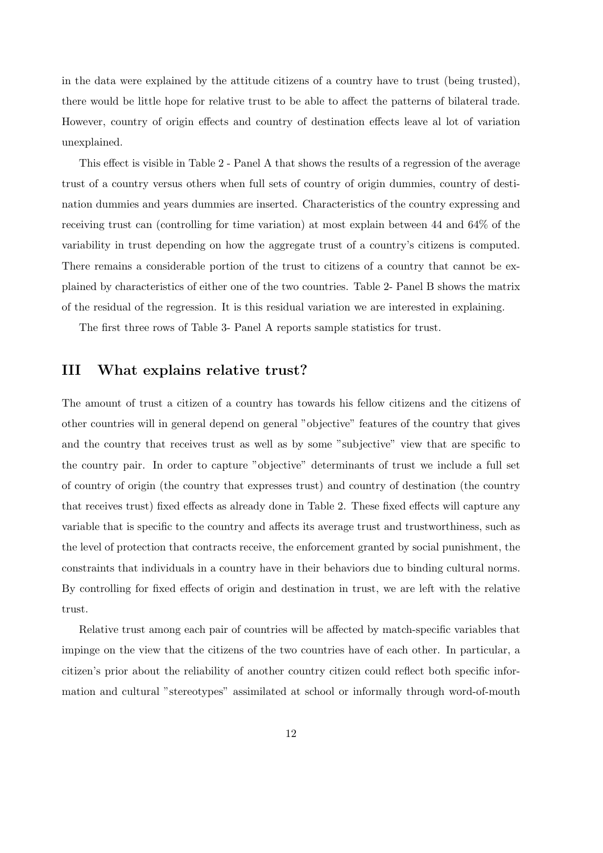in the data were explained by the attitude citizens of a country have to trust (being trusted), there would be little hope for relative trust to be able to affect the patterns of bilateral trade. However, country of origin effects and country of destination effects leave al lot of variation unexplained.

This effect is visible in Table 2 - Panel A that shows the results of a regression of the average trust of a country versus others when full sets of country of origin dummies, country of destination dummies and years dummies are inserted. Characteristics of the country expressing and receiving trust can (controlling for time variation) at most explain between 44 and 64% of the variability in trust depending on how the aggregate trust of a country's citizens is computed. There remains a considerable portion of the trust to citizens of a country that cannot be explained by characteristics of either one of the two countries. Table 2- Panel B shows the matrix of the residual of the regression. It is this residual variation we are interested in explaining.

The first three rows of Table 3- Panel A reports sample statistics for trust.

## III What explains relative trust?

The amount of trust a citizen of a country has towards his fellow citizens and the citizens of other countries will in general depend on general "objective" features of the country that gives and the country that receives trust as well as by some "subjective" view that are specific to the country pair. In order to capture "objective" determinants of trust we include a full set of country of origin (the country that expresses trust) and country of destination (the country that receives trust) fixed effects as already done in Table 2. These fixed effects will capture any variable that is specific to the country and affects its average trust and trustworthiness, such as the level of protection that contracts receive, the enforcement granted by social punishment, the constraints that individuals in a country have in their behaviors due to binding cultural norms. By controlling for fixed effects of origin and destination in trust, we are left with the relative trust.

Relative trust among each pair of countries will be affected by match-specific variables that impinge on the view that the citizens of the two countries have of each other. In particular, a citizen's prior about the reliability of another country citizen could reflect both specific information and cultural "stereotypes" assimilated at school or informally through word-of-mouth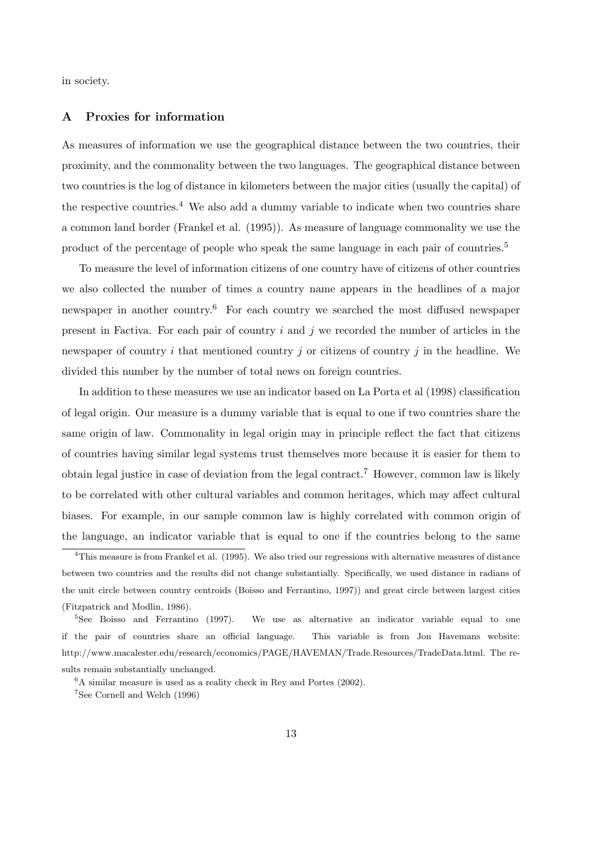in society.

## A Proxies for information

As measures of information we use the geographical distance between the two countries, their proximity, and the commonality between the two languages. The geographical distance between two countries is the log of distance in kilometers between the major cities (usually the capital) of the respective countries.<sup>4</sup> We also add a dummy variable to indicate when two countries share a common land border (Frankel et al. (1995)). As measure of language commonality we use the product of the percentage of people who speak the same language in each pair of countries.<sup>5</sup>

To measure the level of information citizens of one country have of citizens of other countries we also collected the number of times a country name appears in the headlines of a major newspaper in another country.<sup>6</sup> For each country we searched the most diffused newspaper present in Factiva. For each pair of country  $i$  and  $j$  we recorded the number of articles in the newspaper of country i that mentioned country j or citizens of country j in the headline. We divided this number by the number of total news on foreign countries.

In addition to these measures we use an indicator based on La Porta et al (1998) classification of legal origin. Our measure is a dummy variable that is equal to one if two countries share the same origin of law. Commonality in legal origin may in principle reflect the fact that citizens of countries having similar legal systems trust themselves more because it is easier for them to obtain legal justice in case of deviation from the legal contract.<sup>7</sup> However, common law is likely to be correlated with other cultural variables and common heritages, which may affect cultural biases. For example, in our sample common law is highly correlated with common origin of the language, an indicator variable that is equal to one if the countries belong to the same

<sup>4</sup>This measure is from Frankel et al. (1995). We also tried our regressions with alternative measures of distance between two countries and the results did not change substantially. Specifically, we used distance in radians of the unit circle between country centroids (Boisso and Ferrantino, 1997)) and great circle between largest cities (Fitzpatrick and Modlin, 1986).

<sup>&</sup>lt;sup>5</sup>See Boisso and Ferrantino (1997). We use as alternative an indicator variable equal to one if the pair of countries share an official language. This variable is from Jon Havemans website: http://www.macalester.edu/research/economics/PAGE/HAVEMAN/Trade.Resources/TradeData.html. The results remain substantially unchanged.

 ${}^{6}$ A similar measure is used as a reality check in Rey and Portes (2002).

<sup>7</sup>See Cornell and Welch (1996)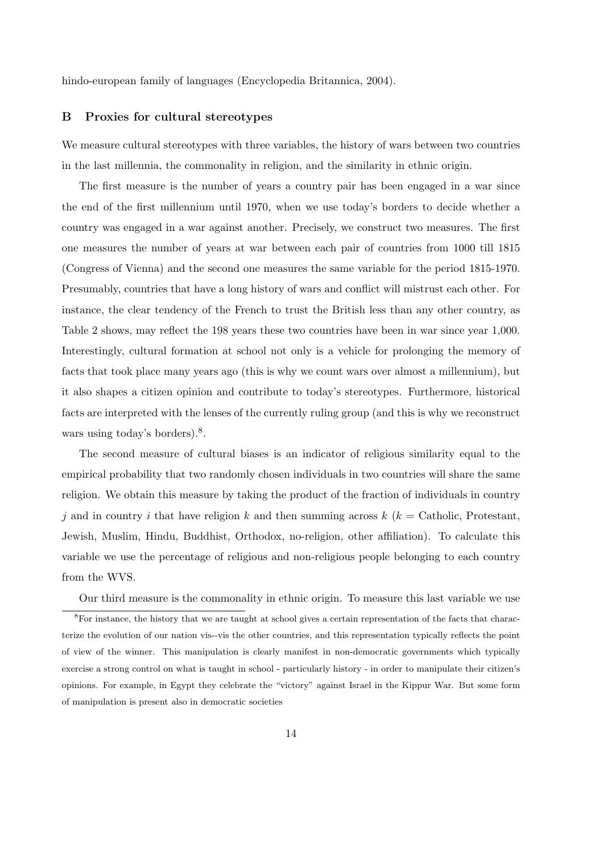hindo-european family of languages (Encyclopedia Britannica, 2004).

## B Proxies for cultural stereotypes

We measure cultural stereotypes with three variables, the history of wars between two countries in the last millennia, the commonality in religion, and the similarity in ethnic origin.

The first measure is the number of years a country pair has been engaged in a war since the end of the first millennium until 1970, when we use today's borders to decide whether a country was engaged in a war against another. Precisely, we construct two measures. The first one measures the number of years at war between each pair of countries from 1000 till 1815 (Congress of Vienna) and the second one measures the same variable for the period 1815-1970. Presumably, countries that have a long history of wars and conflict will mistrust each other. For instance, the clear tendency of the French to trust the British less than any other country, as Table 2 shows, may reflect the 198 years these two countries have been in war since year 1,000. Interestingly, cultural formation at school not only is a vehicle for prolonging the memory of facts that took place many years ago (this is why we count wars over almost a millennium), but it also shapes a citizen opinion and contribute to today's stereotypes. Furthermore, historical facts are interpreted with the lenses of the currently ruling group (and this is why we reconstruct wars using today's borders).<sup>8</sup>.

The second measure of cultural biases is an indicator of religious similarity equal to the empirical probability that two randomly chosen individuals in two countries will share the same religion. We obtain this measure by taking the product of the fraction of individuals in country j and in country i that have religion k and then summing across  $k$  ( $k =$  Catholic, Protestant, Jewish, Muslim, Hindu, Buddhist, Orthodox, no-religion, other affiliation). To calculate this variable we use the percentage of religious and non-religious people belonging to each country from the WVS.

Our third measure is the commonality in ethnic origin. To measure this last variable we use <sup>8</sup>For instance, the history that we are taught at school gives a certain representation of the facts that characterize the evolution of our nation vis--vis the other countries, and this representation typically reflects the point of view of the winner. This manipulation is clearly manifest in non-democratic governments which typically exercise a strong control on what is taught in school - particularly history - in order to manipulate their citizen's opinions. For example, in Egypt they celebrate the "victory" against Israel in the Kippur War. But some form of manipulation is present also in democratic societies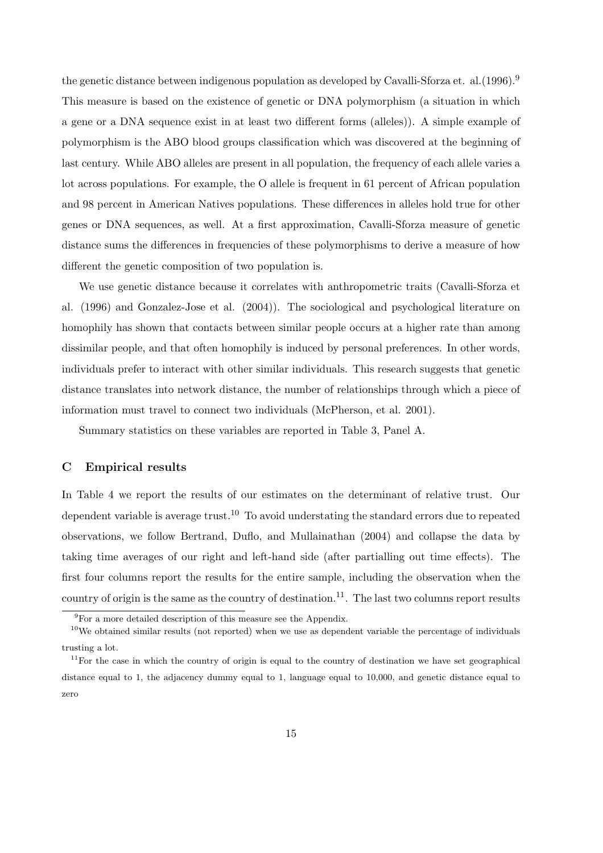the genetic distance between indigenous population as developed by Cavalli-Sforza et. al. (1996).<sup>9</sup> This measure is based on the existence of genetic or DNA polymorphism (a situation in which a gene or a DNA sequence exist in at least two different forms (alleles)). A simple example of polymorphism is the ABO blood groups classification which was discovered at the beginning of last century. While ABO alleles are present in all population, the frequency of each allele varies a lot across populations. For example, the O allele is frequent in 61 percent of African population and 98 percent in American Natives populations. These differences in alleles hold true for other genes or DNA sequences, as well. At a first approximation, Cavalli-Sforza measure of genetic distance sums the differences in frequencies of these polymorphisms to derive a measure of how different the genetic composition of two population is.

We use genetic distance because it correlates with anthropometric traits (Cavalli-Sforza et al. (1996) and Gonzalez-Jose et al. (2004)). The sociological and psychological literature on homophily has shown that contacts between similar people occurs at a higher rate than among dissimilar people, and that often homophily is induced by personal preferences. In other words, individuals prefer to interact with other similar individuals. This research suggests that genetic distance translates into network distance, the number of relationships through which a piece of information must travel to connect two individuals (McPherson, et al. 2001).

Summary statistics on these variables are reported in Table 3, Panel A.

### C Empirical results

In Table 4 we report the results of our estimates on the determinant of relative trust. Our dependent variable is average trust.<sup>10</sup> To avoid understating the standard errors due to repeated observations, we follow Bertrand, Duflo, and Mullainathan (2004) and collapse the data by taking time averages of our right and left-hand side (after partialling out time effects). The first four columns report the results for the entire sample, including the observation when the country of origin is the same as the country of destination.<sup>11</sup>. The last two columns report results

 $\frac{9}{9}$ For a more detailed description of this measure see the Appendix.

 $10$ We obtained similar results (not reported) when we use as dependent variable the percentage of individuals trusting a lot.

 $11$  For the case in which the country of origin is equal to the country of destination we have set geographical distance equal to 1, the adjacency dummy equal to 1, language equal to 10,000, and genetic distance equal to zero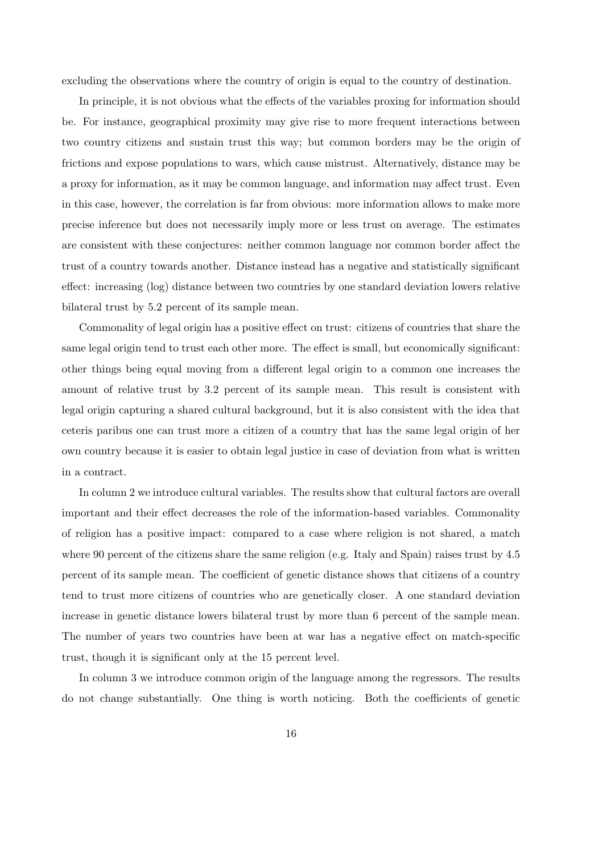excluding the observations where the country of origin is equal to the country of destination.

In principle, it is not obvious what the effects of the variables proxing for information should be. For instance, geographical proximity may give rise to more frequent interactions between two country citizens and sustain trust this way; but common borders may be the origin of frictions and expose populations to wars, which cause mistrust. Alternatively, distance may be a proxy for information, as it may be common language, and information may affect trust. Even in this case, however, the correlation is far from obvious: more information allows to make more precise inference but does not necessarily imply more or less trust on average. The estimates are consistent with these conjectures: neither common language nor common border affect the trust of a country towards another. Distance instead has a negative and statistically significant effect: increasing (log) distance between two countries by one standard deviation lowers relative bilateral trust by 5.2 percent of its sample mean.

Commonality of legal origin has a positive effect on trust: citizens of countries that share the same legal origin tend to trust each other more. The effect is small, but economically significant: other things being equal moving from a different legal origin to a common one increases the amount of relative trust by 3.2 percent of its sample mean. This result is consistent with legal origin capturing a shared cultural background, but it is also consistent with the idea that ceteris paribus one can trust more a citizen of a country that has the same legal origin of her own country because it is easier to obtain legal justice in case of deviation from what is written in a contract.

In column 2 we introduce cultural variables. The results show that cultural factors are overall important and their effect decreases the role of the information-based variables. Commonality of religion has a positive impact: compared to a case where religion is not shared, a match where 90 percent of the citizens share the same religion (e.g. Italy and Spain) raises trust by 4.5 percent of its sample mean. The coefficient of genetic distance shows that citizens of a country tend to trust more citizens of countries who are genetically closer. A one standard deviation increase in genetic distance lowers bilateral trust by more than 6 percent of the sample mean. The number of years two countries have been at war has a negative effect on match-specific trust, though it is significant only at the 15 percent level.

In column 3 we introduce common origin of the language among the regressors. The results do not change substantially. One thing is worth noticing. Both the coefficients of genetic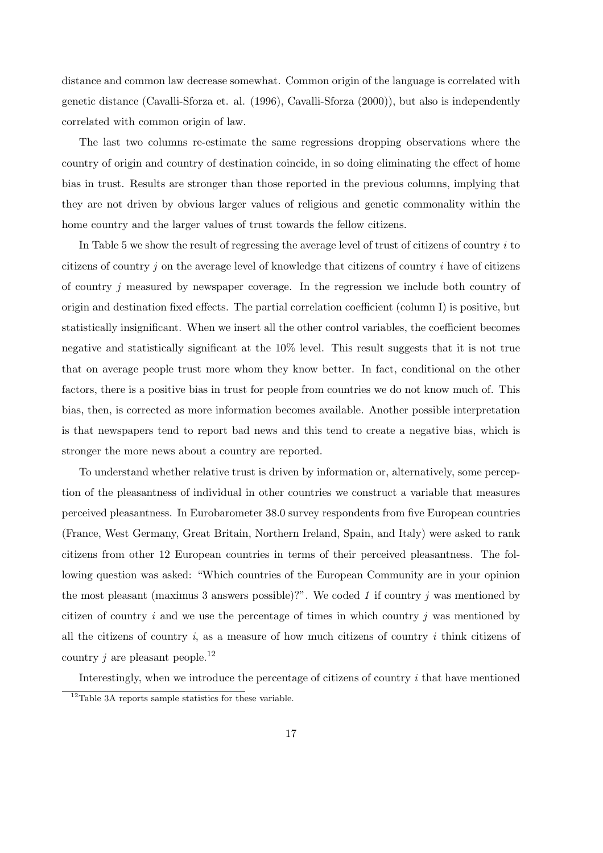distance and common law decrease somewhat. Common origin of the language is correlated with genetic distance (Cavalli-Sforza et. al. (1996), Cavalli-Sforza (2000)), but also is independently correlated with common origin of law.

The last two columns re-estimate the same regressions dropping observations where the country of origin and country of destination coincide, in so doing eliminating the effect of home bias in trust. Results are stronger than those reported in the previous columns, implying that they are not driven by obvious larger values of religious and genetic commonality within the home country and the larger values of trust towards the fellow citizens.

In Table 5 we show the result of regressing the average level of trust of citizens of country  $i$  to citizens of country j on the average level of knowledge that citizens of country i have of citizens of country j measured by newspaper coverage. In the regression we include both country of origin and destination fixed effects. The partial correlation coefficient (column I) is positive, but statistically insignificant. When we insert all the other control variables, the coefficient becomes negative and statistically significant at the 10% level. This result suggests that it is not true that on average people trust more whom they know better. In fact, conditional on the other factors, there is a positive bias in trust for people from countries we do not know much of. This bias, then, is corrected as more information becomes available. Another possible interpretation is that newspapers tend to report bad news and this tend to create a negative bias, which is stronger the more news about a country are reported.

To understand whether relative trust is driven by information or, alternatively, some perception of the pleasantness of individual in other countries we construct a variable that measures perceived pleasantness. In Eurobarometer 38.0 survey respondents from five European countries (France, West Germany, Great Britain, Northern Ireland, Spain, and Italy) were asked to rank citizens from other 12 European countries in terms of their perceived pleasantness. The following question was asked: "Which countries of the European Community are in your opinion the most pleasant (maximus 3 answers possible)?". We coded 1 if country  $j$  was mentioned by citizen of country i and we use the percentage of times in which country i was mentioned by all the citizens of country  $i$ , as a measure of how much citizens of country  $i$  think citizens of country j are pleasant people.<sup>12</sup>

Interestingly, when we introduce the percentage of citizens of country  $i$  that have mentioned

<sup>&</sup>lt;sup>12</sup>Table 3A reports sample statistics for these variable.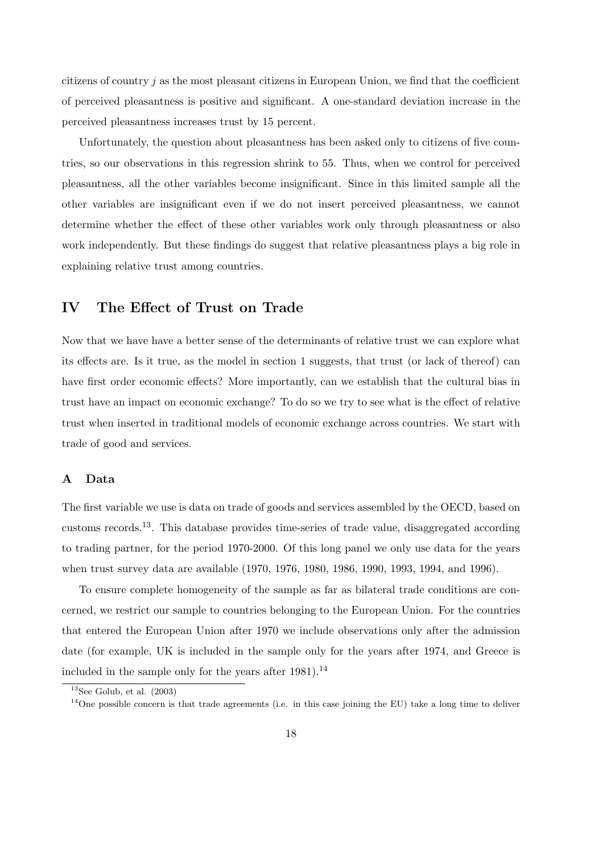citizens of country  $j$  as the most pleasant citizens in European Union, we find that the coefficient of perceived pleasantness is positive and significant. A one-standard deviation increase in the perceived pleasantness increases trust by 15 percent.

Unfortunately, the question about pleasantness has been asked only to citizens of five countries, so our observations in this regression shrink to 55. Thus, when we control for perceived pleasantness, all the other variables become insignificant. Since in this limited sample all the other variables are insignificant even if we do not insert perceived pleasantness, we cannot determine whether the effect of these other variables work only through pleasantness or also work independently. But these findings do suggest that relative pleasantness plays a big role in explaining relative trust among countries.

## IV The Effect of Trust on Trade

Now that we have have a better sense of the determinants of relative trust we can explore what its effects are. Is it true, as the model in section 1 suggests, that trust (or lack of thereof) can have first order economic effects? More importantly, can we establish that the cultural bias in trust have an impact on economic exchange? To do so we try to see what is the effect of relative trust when inserted in traditional models of economic exchange across countries. We start with trade of good and services.

## A Data

The first variable we use is data on trade of goods and services assembled by the OECD, based on customs records.13. This database provides time-series of trade value, disaggregated according to trading partner, for the period 1970-2000. Of this long panel we only use data for the years when trust survey data are available (1970, 1976, 1980, 1986, 1990, 1993, 1994, and 1996).

To ensure complete homogeneity of the sample as far as bilateral trade conditions are concerned, we restrict our sample to countries belonging to the European Union. For the countries that entered the European Union after 1970 we include observations only after the admission date (for example, UK is included in the sample only for the years after 1974, and Greece is included in the sample only for the years after  $1981$ ).<sup>14</sup>

 $13$ See Golub, et al. (2003)

<sup>&</sup>lt;sup>14</sup>One possible concern is that trade agreements (i.e. in this case joining the EU) take a long time to deliver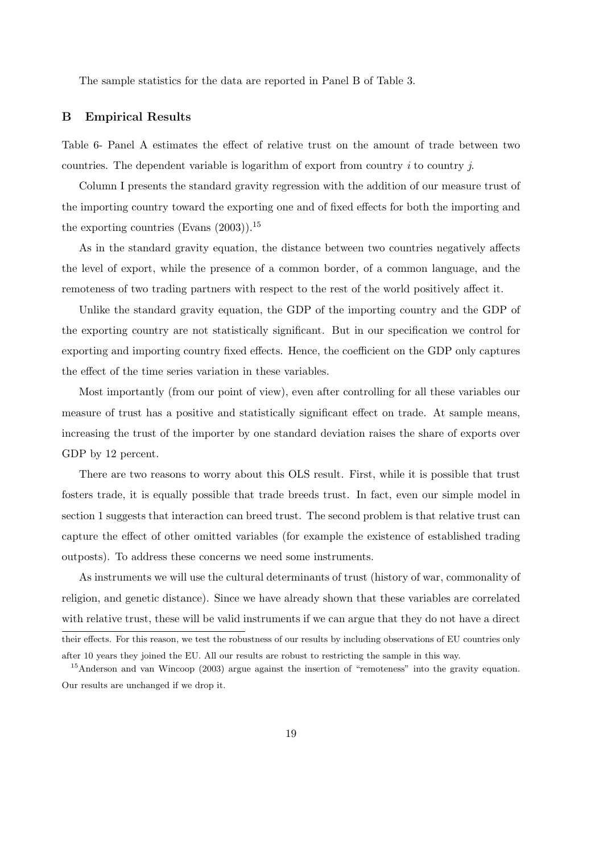The sample statistics for the data are reported in Panel B of Table 3.

## B Empirical Results

Table 6- Panel A estimates the effect of relative trust on the amount of trade between two countries. The dependent variable is logarithm of export from country  $i$  to country  $j$ .

Column I presents the standard gravity regression with the addition of our measure trust of the importing country toward the exporting one and of fixed effects for both the importing and the exporting countries (Evans  $(2003)$ ).<sup>15</sup>

As in the standard gravity equation, the distance between two countries negatively affects the level of export, while the presence of a common border, of a common language, and the remoteness of two trading partners with respect to the rest of the world positively affect it.

Unlike the standard gravity equation, the GDP of the importing country and the GDP of the exporting country are not statistically significant. But in our specification we control for exporting and importing country fixed effects. Hence, the coefficient on the GDP only captures the effect of the time series variation in these variables.

Most importantly (from our point of view), even after controlling for all these variables our measure of trust has a positive and statistically significant effect on trade. At sample means, increasing the trust of the importer by one standard deviation raises the share of exports over GDP by 12 percent.

There are two reasons to worry about this OLS result. First, while it is possible that trust fosters trade, it is equally possible that trade breeds trust. In fact, even our simple model in section 1 suggests that interaction can breed trust. The second problem is that relative trust can capture the effect of other omitted variables (for example the existence of established trading outposts). To address these concerns we need some instruments.

As instruments we will use the cultural determinants of trust (history of war, commonality of religion, and genetic distance). Since we have already shown that these variables are correlated with relative trust, these will be valid instruments if we can argue that they do not have a direct their effects. For this reason, we test the robustness of our results by including observations of EU countries only

after 10 years they joined the EU. All our results are robust to restricting the sample in this way.

<sup>&</sup>lt;sup>15</sup>Anderson and van Wincoop (2003) argue against the insertion of "remoteness" into the gravity equation. Our results are unchanged if we drop it.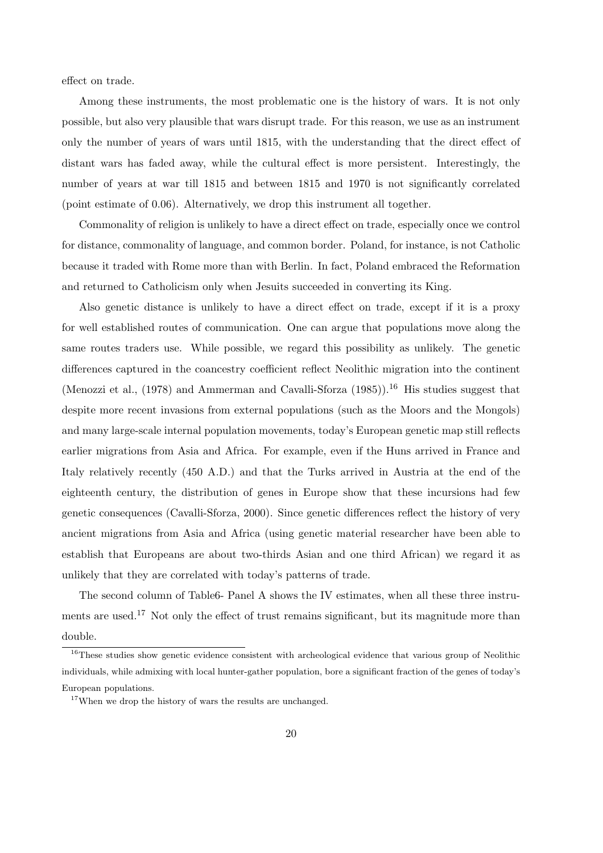effect on trade.

Among these instruments, the most problematic one is the history of wars. It is not only possible, but also very plausible that wars disrupt trade. For this reason, we use as an instrument only the number of years of wars until 1815, with the understanding that the direct effect of distant wars has faded away, while the cultural effect is more persistent. Interestingly, the number of years at war till 1815 and between 1815 and 1970 is not significantly correlated (point estimate of 0.06). Alternatively, we drop this instrument all together.

Commonality of religion is unlikely to have a direct effect on trade, especially once we control for distance, commonality of language, and common border. Poland, for instance, is not Catholic because it traded with Rome more than with Berlin. In fact, Poland embraced the Reformation and returned to Catholicism only when Jesuits succeeded in converting its King.

Also genetic distance is unlikely to have a direct effect on trade, except if it is a proxy for well established routes of communication. One can argue that populations move along the same routes traders use. While possible, we regard this possibility as unlikely. The genetic differences captured in the coancestry coefficient reflect Neolithic migration into the continent (Menozzi et al.,  $(1978)$  and Ammerman and Cavalli-Sforza  $(1985)$ ).<sup>16</sup> His studies suggest that despite more recent invasions from external populations (such as the Moors and the Mongols) and many large-scale internal population movements, today's European genetic map still reflects earlier migrations from Asia and Africa. For example, even if the Huns arrived in France and Italy relatively recently (450 A.D.) and that the Turks arrived in Austria at the end of the eighteenth century, the distribution of genes in Europe show that these incursions had few genetic consequences (Cavalli-Sforza, 2000). Since genetic differences reflect the history of very ancient migrations from Asia and Africa (using genetic material researcher have been able to establish that Europeans are about two-thirds Asian and one third African) we regard it as unlikely that they are correlated with today's patterns of trade.

The second column of Table6- Panel A shows the IV estimates, when all these three instruments are used.<sup>17</sup> Not only the effect of trust remains significant, but its magnitude more than double.

<sup>&</sup>lt;sup>16</sup>These studies show genetic evidence consistent with archeological evidence that various group of Neolithic individuals, while admixing with local hunter-gather population, bore a significant fraction of the genes of today's European populations.

<sup>&</sup>lt;sup>17</sup>When we drop the history of wars the results are unchanged.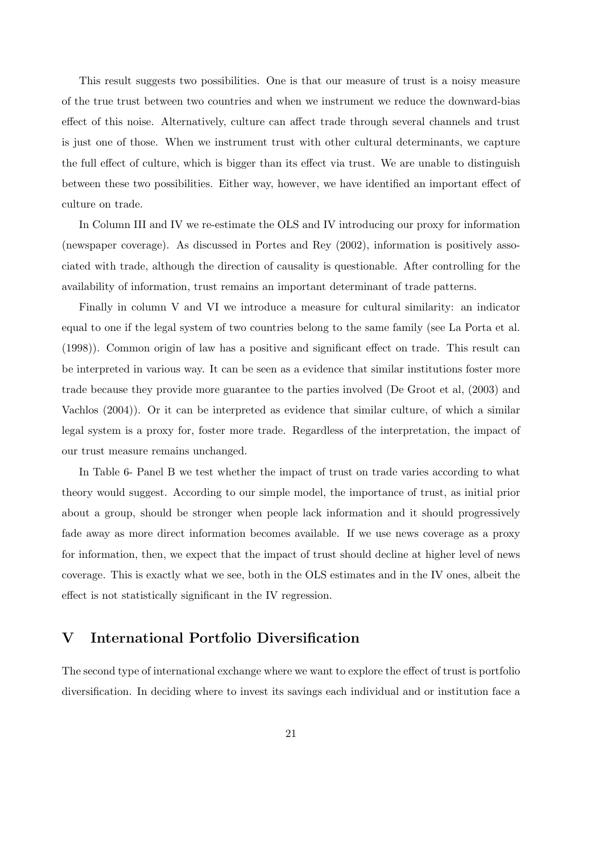This result suggests two possibilities. One is that our measure of trust is a noisy measure of the true trust between two countries and when we instrument we reduce the downward-bias effect of this noise. Alternatively, culture can affect trade through several channels and trust is just one of those. When we instrument trust with other cultural determinants, we capture the full effect of culture, which is bigger than its effect via trust. We are unable to distinguish between these two possibilities. Either way, however, we have identified an important effect of culture on trade.

In Column III and IV we re-estimate the OLS and IV introducing our proxy for information (newspaper coverage). As discussed in Portes and Rey (2002), information is positively associated with trade, although the direction of causality is questionable. After controlling for the availability of information, trust remains an important determinant of trade patterns.

Finally in column V and VI we introduce a measure for cultural similarity: an indicator equal to one if the legal system of two countries belong to the same family (see La Porta et al. (1998)). Common origin of law has a positive and significant effect on trade. This result can be interpreted in various way. It can be seen as a evidence that similar institutions foster more trade because they provide more guarantee to the parties involved (De Groot et al, (2003) and Vachlos (2004)). Or it can be interpreted as evidence that similar culture, of which a similar legal system is a proxy for, foster more trade. Regardless of the interpretation, the impact of our trust measure remains unchanged.

In Table 6- Panel B we test whether the impact of trust on trade varies according to what theory would suggest. According to our simple model, the importance of trust, as initial prior about a group, should be stronger when people lack information and it should progressively fade away as more direct information becomes available. If we use news coverage as a proxy for information, then, we expect that the impact of trust should decline at higher level of news coverage. This is exactly what we see, both in the OLS estimates and in the IV ones, albeit the effect is not statistically significant in the IV regression.

## V International Portfolio Diversification

The second type of international exchange where we want to explore the effect of trust is portfolio diversification. In deciding where to invest its savings each individual and or institution face a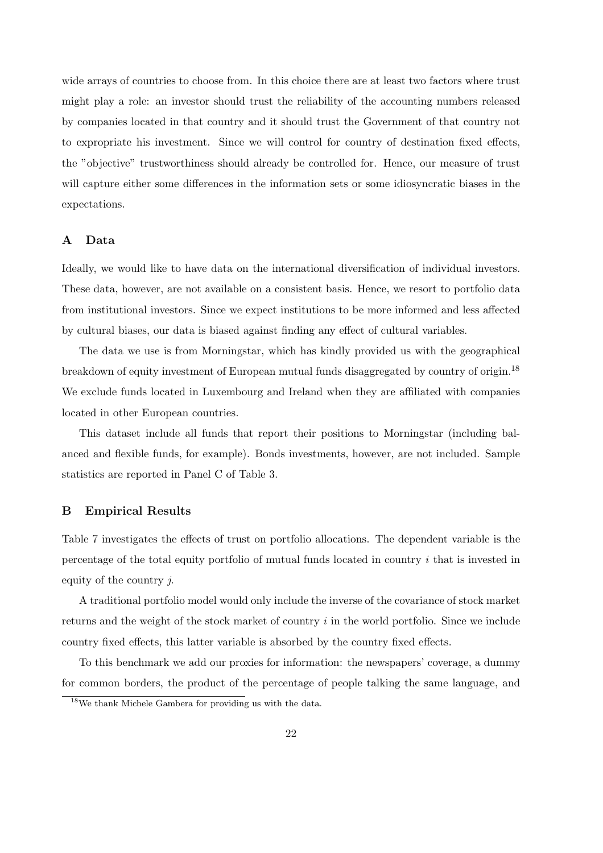wide arrays of countries to choose from. In this choice there are at least two factors where trust might play a role: an investor should trust the reliability of the accounting numbers released by companies located in that country and it should trust the Government of that country not to expropriate his investment. Since we will control for country of destination fixed effects, the "objective" trustworthiness should already be controlled for. Hence, our measure of trust will capture either some differences in the information sets or some idiosyncratic biases in the expectations.

## A Data

Ideally, we would like to have data on the international diversification of individual investors. These data, however, are not available on a consistent basis. Hence, we resort to portfolio data from institutional investors. Since we expect institutions to be more informed and less affected by cultural biases, our data is biased against finding any effect of cultural variables.

The data we use is from Morningstar, which has kindly provided us with the geographical breakdown of equity investment of European mutual funds disaggregated by country of origin.<sup>18</sup> We exclude funds located in Luxembourg and Ireland when they are affiliated with companies located in other European countries.

This dataset include all funds that report their positions to Morningstar (including balanced and flexible funds, for example). Bonds investments, however, are not included. Sample statistics are reported in Panel C of Table 3.

#### B Empirical Results

Table 7 investigates the effects of trust on portfolio allocations. The dependent variable is the percentage of the total equity portfolio of mutual funds located in country i that is invested in equity of the country j.

A traditional portfolio model would only include the inverse of the covariance of stock market returns and the weight of the stock market of country  $i$  in the world portfolio. Since we include country fixed effects, this latter variable is absorbed by the country fixed effects.

To this benchmark we add our proxies for information: the newspapers' coverage, a dummy for common borders, the product of the percentage of people talking the same language, and

<sup>18</sup>We thank Michele Gambera for providing us with the data.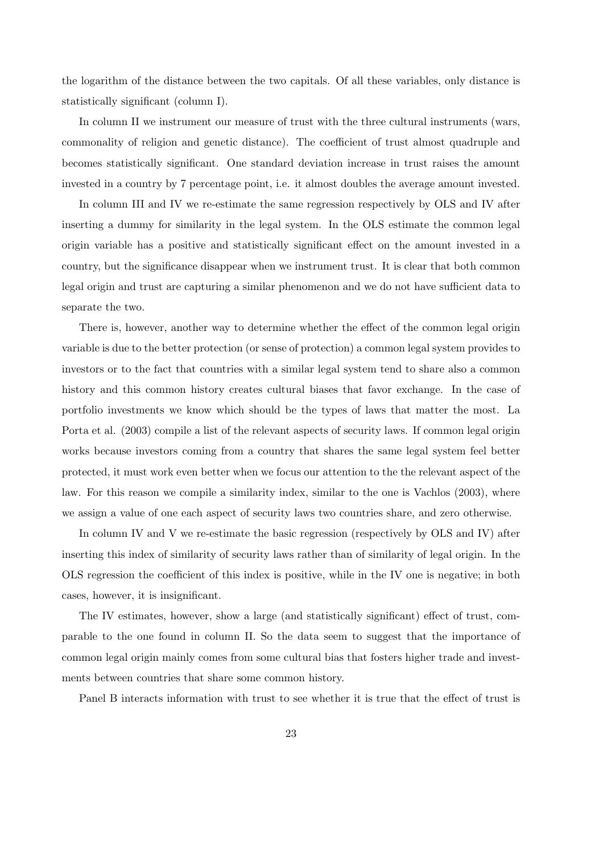the logarithm of the distance between the two capitals. Of all these variables, only distance is statistically significant (column I).

In column II we instrument our measure of trust with the three cultural instruments (wars, commonality of religion and genetic distance). The coefficient of trust almost quadruple and becomes statistically significant. One standard deviation increase in trust raises the amount invested in a country by 7 percentage point, i.e. it almost doubles the average amount invested.

In column III and IV we re-estimate the same regression respectively by OLS and IV after inserting a dummy for similarity in the legal system. In the OLS estimate the common legal origin variable has a positive and statistically significant effect on the amount invested in a country, but the significance disappear when we instrument trust. It is clear that both common legal origin and trust are capturing a similar phenomenon and we do not have sufficient data to separate the two.

There is, however, another way to determine whether the effect of the common legal origin variable is due to the better protection (or sense of protection) a common legal system provides to investors or to the fact that countries with a similar legal system tend to share also a common history and this common history creates cultural biases that favor exchange. In the case of portfolio investments we know which should be the types of laws that matter the most. La Porta et al. (2003) compile a list of the relevant aspects of security laws. If common legal origin works because investors coming from a country that shares the same legal system feel better protected, it must work even better when we focus our attention to the the relevant aspect of the law. For this reason we compile a similarity index, similar to the one is Vachlos (2003), where we assign a value of one each aspect of security laws two countries share, and zero otherwise.

In column IV and V we re-estimate the basic regression (respectively by OLS and IV) after inserting this index of similarity of security laws rather than of similarity of legal origin. In the OLS regression the coefficient of this index is positive, while in the IV one is negative; in both cases, however, it is insignificant.

The IV estimates, however, show a large (and statistically significant) effect of trust, comparable to the one found in column II. So the data seem to suggest that the importance of common legal origin mainly comes from some cultural bias that fosters higher trade and investments between countries that share some common history.

Panel B interacts information with trust to see whether it is true that the effect of trust is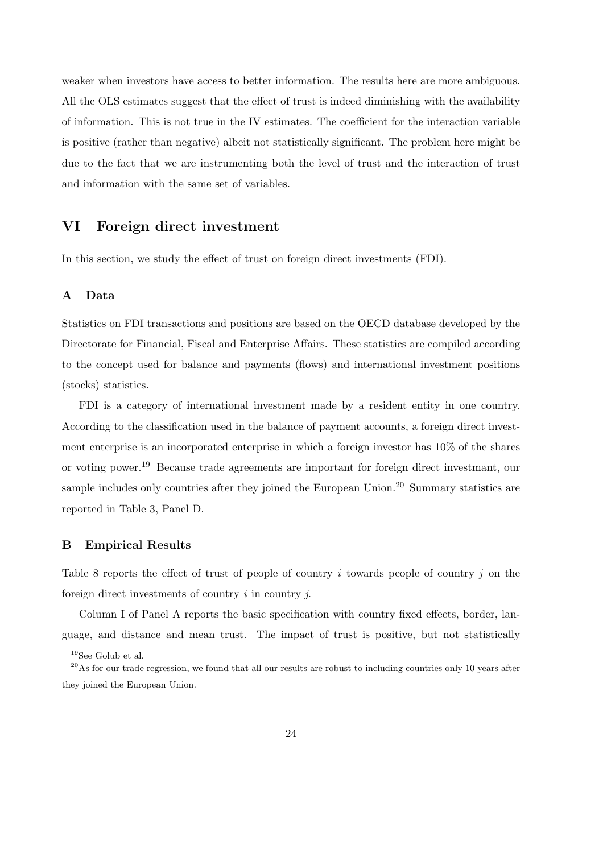weaker when investors have access to better information. The results here are more ambiguous. All the OLS estimates suggest that the effect of trust is indeed diminishing with the availability of information. This is not true in the IV estimates. The coefficient for the interaction variable is positive (rather than negative) albeit not statistically significant. The problem here might be due to the fact that we are instrumenting both the level of trust and the interaction of trust and information with the same set of variables.

## VI Foreign direct investment

In this section, we study the effect of trust on foreign direct investments (FDI).

## A Data

Statistics on FDI transactions and positions are based on the OECD database developed by the Directorate for Financial, Fiscal and Enterprise Affairs. These statistics are compiled according to the concept used for balance and payments (flows) and international investment positions (stocks) statistics.

FDI is a category of international investment made by a resident entity in one country. According to the classification used in the balance of payment accounts, a foreign direct investment enterprise is an incorporated enterprise in which a foreign investor has 10% of the shares or voting power.<sup>19</sup> Because trade agreements are important for foreign direct investmant, our sample includes only countries after they joined the European Union.<sup>20</sup> Summary statistics are reported in Table 3, Panel D.

#### B Empirical Results

Table 8 reports the effect of trust of people of country i towards people of country  $j$  on the foreign direct investments of country  $i$  in country  $j$ .

Column I of Panel A reports the basic specification with country fixed effects, border, language, and distance and mean trust. The impact of trust is positive, but not statistically

<sup>19</sup>See Golub et al.

 $^{20}$ As for our trade regression, we found that all our results are robust to including countries only 10 years after they joined the European Union.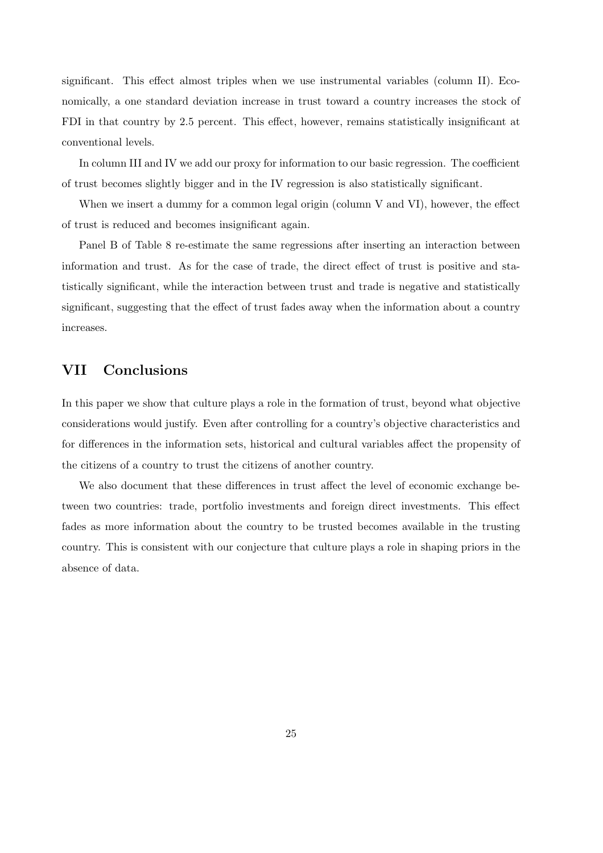significant. This effect almost triples when we use instrumental variables (column II). Economically, a one standard deviation increase in trust toward a country increases the stock of FDI in that country by 2.5 percent. This effect, however, remains statistically insignificant at conventional levels.

In column III and IV we add our proxy for information to our basic regression. The coefficient of trust becomes slightly bigger and in the IV regression is also statistically significant.

When we insert a dummy for a common legal origin (column V and VI), however, the effect of trust is reduced and becomes insignificant again.

Panel B of Table 8 re-estimate the same regressions after inserting an interaction between information and trust. As for the case of trade, the direct effect of trust is positive and statistically significant, while the interaction between trust and trade is negative and statistically significant, suggesting that the effect of trust fades away when the information about a country increases.

## VII Conclusions

In this paper we show that culture plays a role in the formation of trust, beyond what objective considerations would justify. Even after controlling for a country's objective characteristics and for differences in the information sets, historical and cultural variables affect the propensity of the citizens of a country to trust the citizens of another country.

We also document that these differences in trust affect the level of economic exchange between two countries: trade, portfolio investments and foreign direct investments. This effect fades as more information about the country to be trusted becomes available in the trusting country. This is consistent with our conjecture that culture plays a role in shaping priors in the absence of data.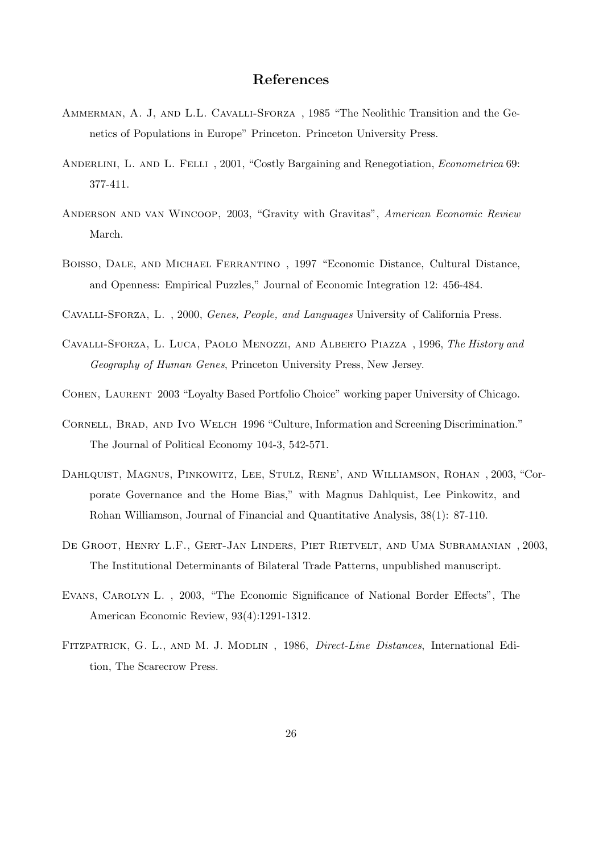## References

- Ammerman, A. J, and L.L. Cavalli-Sforza , 1985 "The Neolithic Transition and the Genetics of Populations in Europe" Princeton. Princeton University Press.
- ANDERLINI, L. AND L. FELLI, 2001, "Costly Bargaining and Renegotiation, *Econometrica* 69: 377-411.
- Anderson and van Wincoop, 2003, "Gravity with Gravitas", American Economic Review March.
- Boisso, Dale, and Michael Ferrantino , 1997 "Economic Distance, Cultural Distance, and Openness: Empirical Puzzles," Journal of Economic Integration 12: 456-484.
- Cavalli-Sforza, L. , 2000, Genes, People, and Languages University of California Press.
- Cavalli-Sforza, L. Luca, Paolo Menozzi, and Alberto Piazza , 1996, The History and Geography of Human Genes, Princeton University Press, New Jersey.
- Cohen, Laurent 2003 "Loyalty Based Portfolio Choice" working paper University of Chicago.
- Cornell, Brad, and Ivo Welch 1996 "Culture, Information and Screening Discrimination." The Journal of Political Economy 104-3, 542-571.
- Dahlquist, Magnus, Pinkowitz, Lee, Stulz, Rene', and Williamson, Rohan , 2003, "Corporate Governance and the Home Bias," with Magnus Dahlquist, Lee Pinkowitz, and Rohan Williamson, Journal of Financial and Quantitative Analysis, 38(1): 87-110.
- De Groot, Henry L.F., Gert-Jan Linders, Piet Rietvelt, and Uma Subramanian , 2003, The Institutional Determinants of Bilateral Trade Patterns, unpublished manuscript.
- Evans, Carolyn L. , 2003, "The Economic Significance of National Border Effects", The American Economic Review, 93(4):1291-1312.
- FITZPATRICK, G. L., AND M. J. MODLIN, 1986, *Direct-Line Distances*, International Edition, The Scarecrow Press.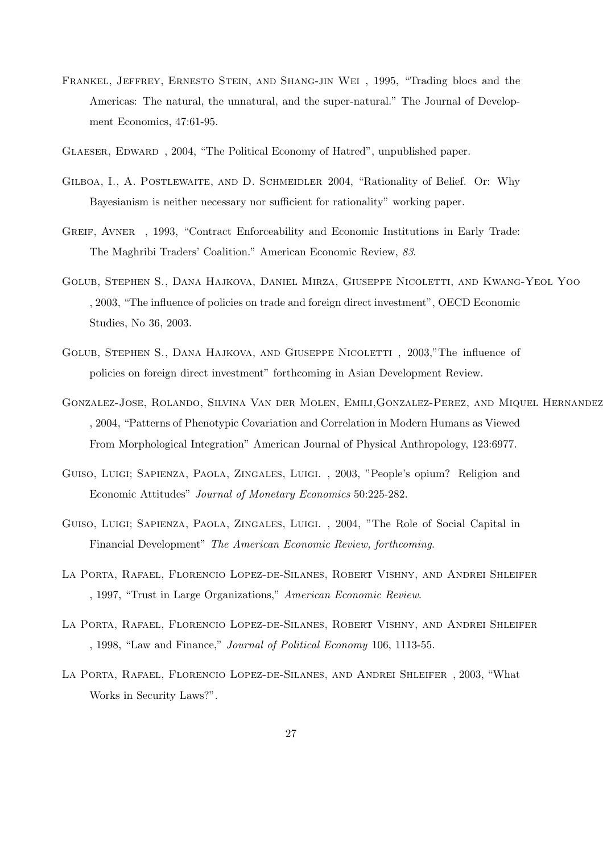- FRANKEL, JEFFREY, ERNESTO STEIN, AND SHANG-JIN WEI, 1995, "Trading blocs and the Americas: The natural, the unnatural, and the super-natural." The Journal of Development Economics, 47:61-95.
- Glaeser, Edward , 2004, "The Political Economy of Hatred", unpublished paper.
- GILBOA, I., A. POSTLEWAITE, AND D. SCHMEIDLER 2004, "Rationality of Belief. Or: Why Bayesianism is neither necessary nor sufficient for rationality" working paper.
- GREIF, AVNER, 1993, "Contract Enforceability and Economic Institutions in Early Trade: The Maghribi Traders' Coalition." American Economic Review, 83.
- Golub, Stephen S., Dana Hajkova, Daniel Mirza, Giuseppe Nicoletti, and Kwang-Yeol Yoo , 2003, "The influence of policies on trade and foreign direct investment", OECD Economic Studies, No 36, 2003.
- Golub, Stephen S., Dana Hajkova, and Giuseppe Nicoletti , 2003,"The influence of policies on foreign direct investment" forthcoming in Asian Development Review.
- Gonzalez-Jose, Rolando, Silvina Van der Molen, Emili,Gonzalez-Perez, and Miquel Hernandez , 2004, "Patterns of Phenotypic Covariation and Correlation in Modern Humans as Viewed From Morphological Integration" American Journal of Physical Anthropology, 123:6977.
- Guiso, Luigi; Sapienza, Paola, Zingales, Luigi. , 2003, "People's opium? Religion and Economic Attitudes" Journal of Monetary Economics 50:225-282.
- Guiso, Luigi; Sapienza, Paola, Zingales, Luigi. , 2004, "The Role of Social Capital in Financial Development" The American Economic Review, forthcoming.
- La Porta, Rafael, Florencio Lopez-de-Silanes, Robert Vishny, and Andrei Shleifer , 1997, "Trust in Large Organizations," American Economic Review.
- La Porta, Rafael, Florencio Lopez-de-Silanes, Robert Vishny, and Andrei Shleifer , 1998, "Law and Finance," Journal of Political Economy 106, 1113-55.
- La Porta, Rafael, Florencio Lopez-de-Silanes, and Andrei Shleifer , 2003, "What Works in Security Laws?".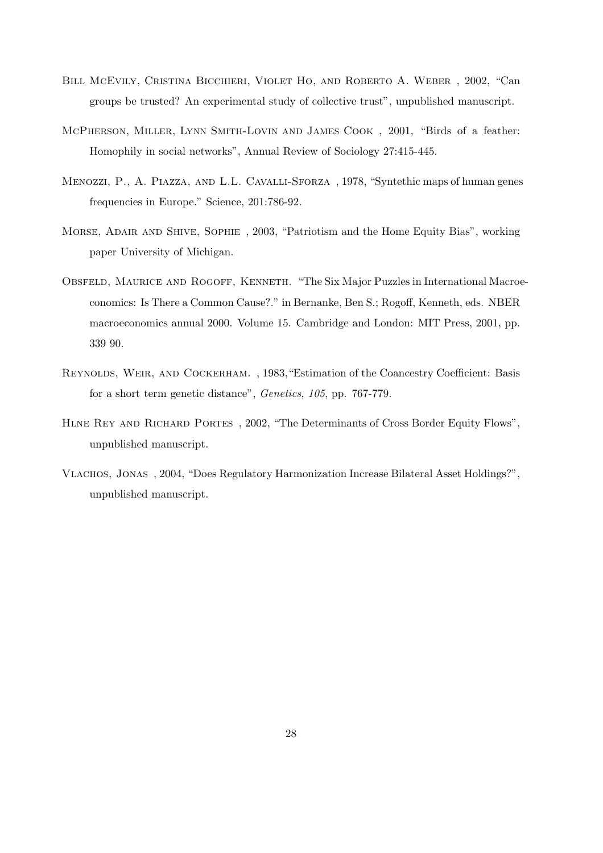- Bill McEvily, Cristina Bicchieri, Violet Ho, and Roberto A. Weber , 2002, "Can groups be trusted? An experimental study of collective trust", unpublished manuscript.
- McPherson, Miller, Lynn Smith-Lovin and James Cook , 2001, "Birds of a feather: Homophily in social networks", Annual Review of Sociology 27:415-445.
- Menozzi, P., A. Piazza, and L.L. Cavalli-Sforza , 1978, "Syntethic maps of human genes frequencies in Europe." Science, 201:786-92.
- Morse, Adair and Shive, Sophie , 2003, "Patriotism and the Home Equity Bias", working paper University of Michigan.
- OBSFELD, MAURICE AND ROGOFF, KENNETH. "The Six Major Puzzles in International Macroeconomics: Is There a Common Cause?." in Bernanke, Ben S.; Rogoff, Kenneth, eds. NBER macroeconomics annual 2000. Volume 15. Cambridge and London: MIT Press, 2001, pp. 339 90.
- REYNOLDS, WEIR, AND COCKERHAM., 1983, "Estimation of the Coancestry Coefficient: Basis for a short term genetic distance", Genetics, 105, pp. 767-779.
- Hlne Rey and Richard Portes , 2002, "The Determinants of Cross Border Equity Flows", unpublished manuscript.
- Vlachos, Jonas , 2004, "Does Regulatory Harmonization Increase Bilateral Asset Holdings?", unpublished manuscript.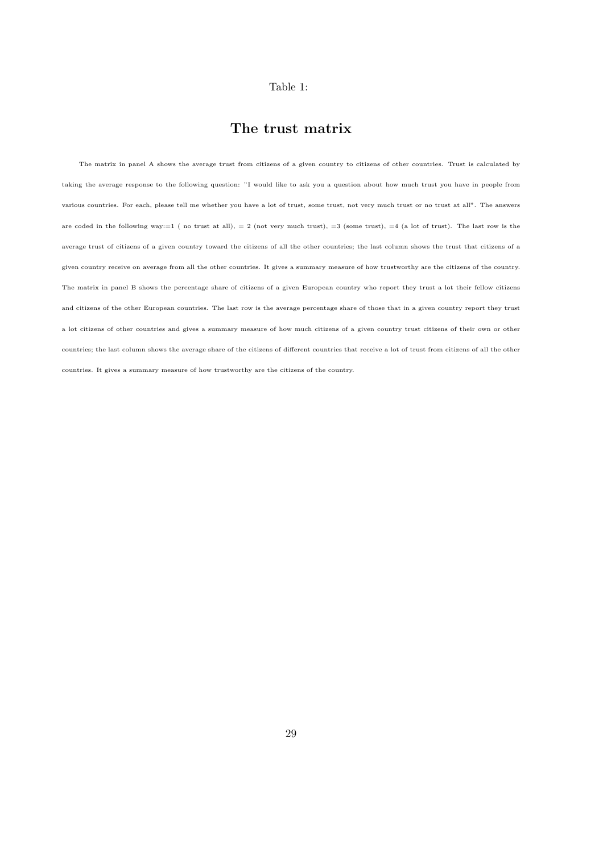#### Table 1:

## The trust matrix

The matrix in panel A shows the average trust from citizens of a given country to citizens of other countries. Trust is calculated by taking the average response to the following question: "I would like to ask you a question about how much trust you have in people from various countries. For each, please tell me whether you have a lot of trust, some trust, not very much trust or no trust at all". The answers are coded in the following way:=1 (no trust at all), = 2 (not very much trust), =3 (some trust), =4 (a lot of trust). The last row is the average trust of citizens of a given country toward the citizens of all the other countries; the last column shows the trust that citizens of a given country receive on average from all the other countries. It gives a summary measure of how trustworthy are the citizens of the country. The matrix in panel B shows the percentage share of citizens of a given European country who report they trust a lot their fellow citizens and citizens of the other European countries. The last row is the average percentage share of those that in a given country report they trust a lot citizens of other countries and gives a summary measure of how much citizens of a given country trust citizens of their own or other countries; the last column shows the average share of the citizens of different countries that receive a lot of trust from citizens of all the other countries. It gives a summary measure of how trustworthy are the citizens of the country.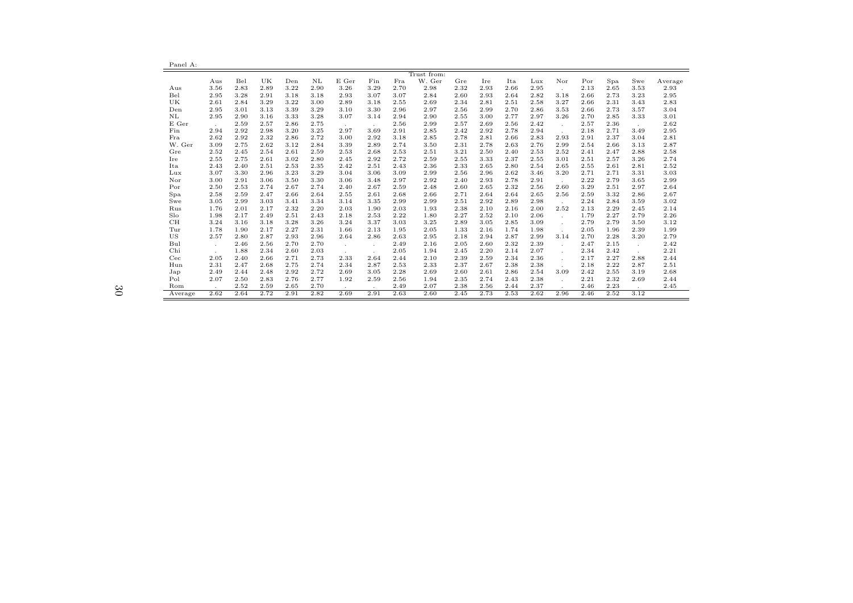| Panel A:    |        |      |      |      |      |         |         |      |             |      |      |      |      |        |      |      |         |         |
|-------------|--------|------|------|------|------|---------|---------|------|-------------|------|------|------|------|--------|------|------|---------|---------|
|             |        |      |      |      |      |         |         |      | Trust from: |      |      |      |      |        |      |      |         |         |
|             | Aus    | Bel  | UK   | Den  | NL   | E Ger   | Fin     | Fra  | W. Ger      | Gre  | Ire  | Ita  | Lux  | Nor    | Por  | Spa  | Swe     | Average |
| Aus         | 3.56   | 2.83 | 2.89 | 3.22 | 2.90 | 3.26    | 3.29    | 2.70 | 2.98        | 2.32 | 2.93 | 2.66 | 2.95 | $\sim$ | 2.13 | 2.65 | 3.53    | 2.93    |
| Bel         | 2.95   | 3.28 | 2.91 | 3.18 | 3.18 | 2.93    | 3.07    | 3.07 | 2.84        | 2.60 | 2.93 | 2.64 | 2.82 | 3.18   | 2.66 | 2.73 | 3.23    | 2.95    |
| UK          | 2.61   | 2.84 | 3.29 | 3.22 | 3.00 | 2.89    | 3.18    | 2.55 | 2.69        | 2.34 | 2.81 | 2.51 | 2.58 | 3.27   | 2.66 | 2.31 | 3.43    | 2.83    |
| Den         | 2.95   | 3.01 | 3.13 | 3.39 | 3.29 | 3.10    | 3.30    | 2.96 | 2.97        | 2.56 | 2.99 | 2.70 | 2.86 | 3.53   | 2.66 | 2.73 | 3.57    | 3.04    |
| $_{\rm NL}$ | 2.95   | 2.90 | 3.16 | 3.33 | 3.28 | 3.07    | 3.14    | 2.94 | 2.90        | 2.55 | 3.00 | 2.77 | 2.97 | 3.26   | 2.70 | 2.85 | 3.33    | 3.01    |
| E Ger       |        | 2.59 | 2.57 | 2.86 | 2.75 | $\sim$  | $\sim$  | 2.56 | 2.99        | 2.57 | 2.69 | 2.56 | 2.42 |        | 2.57 | 2.36 | $\sim$  | 2.62    |
| Fin         | 2.94   | 2.92 | 2.98 | 3.20 | 3.25 | 2.97    | 3.69    | 2.91 | 2.85        | 2.42 | 2.92 | 2.78 | 2.94 |        | 2.18 | 2.71 | 3.49    | 2.95    |
| Fra         | 2.62   | 2.92 | 2.32 | 2.86 | 2.72 | 3.00    | 2.92    | 3.18 | 2.85        | 2.78 | 2.81 | 2.66 | 2.83 | 2.93   | 2.91 | 2.37 | 3.04    | 2.81    |
| W. Ger      | 3.09   | 2.75 | 2.62 | 3.12 | 2.84 | 3.39    | 2.89    | 2.74 | 3.50        | 2.31 | 2.78 | 2.63 | 2.76 | 2.99   | 2.54 | 2.66 | 3.13    | 2.87    |
| Gre         | 2.52   | 2.45 | 2.54 | 2.61 | 2.59 | 2.53    | 2.68    | 2.53 | 2.51        | 3.21 | 2.50 | 2.40 | 2.53 | 2.52   | 2.41 | 2.47 | 2.88    | 2.58    |
| Ire         | 2.55   | 2.75 | 2.61 | 3.02 | 2.80 | 2.45    | 2.92    | 2.72 | 2.59        | 2.55 | 3.33 | 2.37 | 2.55 | 3.01   | 2.51 | 2.57 | 3.26    | 2.74    |
| Ita         | 2.43   | 2.40 | 2.51 | 2.53 | 2.35 | 2.42    | 2.51    | 2.43 | 2.36        | 2.33 | 2.65 | 2.80 | 2.54 | 2.65   | 2.55 | 2.61 | 2.81    | 2.52    |
| Lux         | 3.07   | 3.30 | 2.96 | 3.23 | 3.29 | 3.04    | 3.06    | 3.09 | 2.99        | 2.56 | 2.96 | 2.62 | 3.46 | 3.20   | 2.71 | 2.71 | 3.31    | 3.03    |
| Nor         | 3.00   | 2.91 | 3.06 | 3.50 | 3.30 | 3.06    | 3.48    | 2.97 | 2.92        | 2.40 | 2.93 | 2.78 | 2.91 |        | 2.22 | 2.79 | 3.65    | 2.99    |
| Por         | 2.50   | 2.53 | 2.74 | 2.67 | 2.74 | 2.40    | 2.67    | 2.59 | 2.48        | 2.60 | 2.65 | 2.32 | 2.56 | 2.60   | 3.29 | 2.51 | 2.97    | 2.64    |
| Spa         | 2.58   | 2.59 | 2.47 | 2.66 | 2.64 | 2.55    | 2.61    | 2.68 | 2.66        | 2.71 | 2.64 | 2.64 | 2.65 | 2.56   | 2.59 | 3.32 | 2.86    | 2.67    |
| Swe         | 3.05   | 2.99 | 3.03 | 3.41 | 3.34 | 3.14    | 3.35    | 2.99 | 2.99        | 2.51 | 2.92 | 2.89 | 2.98 | $\sim$ | 2.24 | 2.84 | 3.59    | 3.02    |
| Rus         | 1.76   | 2.01 | 2.17 | 2.32 | 2.20 | 2.03    | 1.90    | 2.03 | 1.93        | 2.38 | 2.10 | 2.16 | 2.00 | 2.52   | 2.13 | 2.29 | 2.45    | 2.14    |
| Slo         | 1.98   | 2.17 | 2.49 | 2.51 | 2.43 | 2.18    | 2.53    | 2.22 | 1.80        | 2.27 | 2.52 | 2.10 | 2.06 | . н.   | 1.79 | 2.27 | 2.79    | 2.26    |
| CH          | 3.24   | 3.16 | 3.18 | 3.28 | 3.26 | 3.24    | 3.37    | 3.03 | 3.25        | 2.89 | 3.05 | 2.85 | 3.09 |        | 2.79 | 2.79 | 3.50    | 3.12    |
| Tur         | 1.78   | 1.90 | 2.17 | 2.27 | 2.31 | 1.66    | 2.13    | 1.95 | 2.05        | 1.33 | 2.16 | 1.74 | 1.98 |        | 2.05 | 1.96 | 2.39    | 1.99    |
| US          | 2.57   | 2.80 | 2.87 | 2.93 | 2.96 | 2.64    | 2.86    | 2.63 | 2.95        | 2.18 | 2.94 | 2.87 | 2.99 | 3.14   | 2.70 | 2.28 | 3.20    | 2.79    |
| Bul         | $\sim$ | 2.46 | 2.56 | 2.70 | 2.70 | $\sim$  | $\cdot$ | 2.49 | 2.16        | 2.05 | 2.60 | 2.32 | 2.39 |        | 2.47 | 2.15 | $\cdot$ | 2.42    |
| Chi         |        | 1.88 | 2.34 | 2.60 | 2.03 | $\cdot$ |         | 2.05 | 1.94        | 2.45 | 2.20 | 2.14 | 2.07 |        | 2.34 | 2.42 |         | 2.21    |
| Cec         | 2.05   | 2.40 | 2.66 | 2.71 | 2.73 | 2.33    | 2.64    | 2.44 | 2.10        | 2.39 | 2.59 | 2.34 | 2.36 |        | 2.17 | 2.27 | 2.88    | 2.44    |
| Hun         | 2.31   | 2.47 | 2.68 | 2.75 | 2.74 | 2.34    | 2.87    | 2.53 | 2.33        | 2.37 | 2.67 | 2.38 | 2.38 | $\sim$ | 2.18 | 2.22 | 2.87    | 2.51    |
| Jap         | 2.49   | 2.44 | 2.48 | 2.92 | 2.72 | 2.69    | 3.05    | 2.28 | 2.69        | 2.60 | 2.61 | 2.86 | 2.54 | 3.09   | 2.42 | 2.55 | 3.19    | 2.68    |
| Pol         | 2.07   | 2.50 | 2.83 | 2.76 | 2.77 | 1.92    | 2.59    | 2.56 | 1.94        | 2.35 | 2.74 | 2.43 | 2.38 | $\sim$ | 2.21 | 2.32 | 2.69    | 2.44    |
| Rom         |        | 2.52 | 2.59 | 2.65 | 2.70 | $\sim$  |         | 2.49 | 2.07        | 2.38 | 2.56 | 2.44 | 2.37 |        | 2.46 | 2.23 |         | 2.45    |
| Average     | 2.62   | 2.64 | 2.72 | 2.91 | 2.82 | 2.69    | 2.91    | 2.63 | 2.60        | 2.45 | 2.73 | 2.53 | 2.62 | 2.96   | 2.46 | 2.52 | 3.12    |         |

÷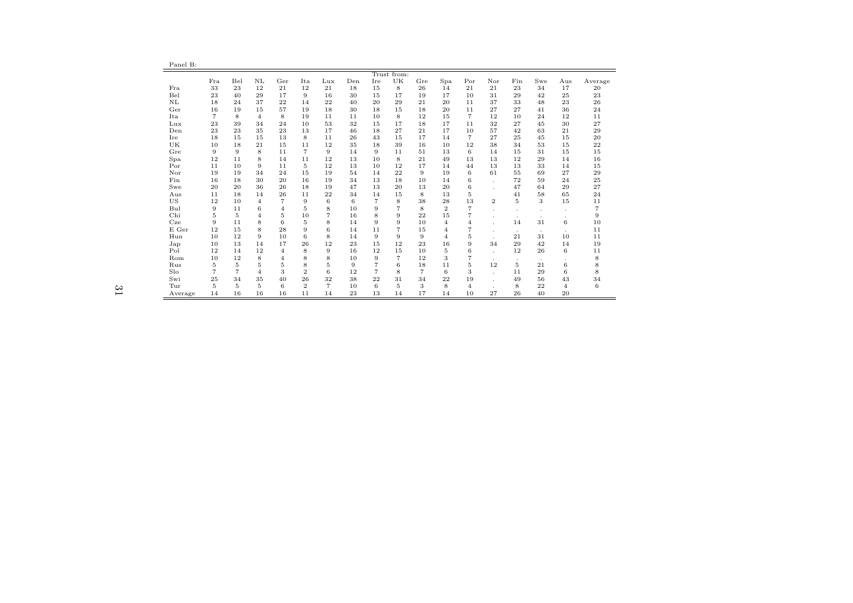| . . |  |
|-----|--|
|-----|--|

| Trust from: |                |                |                |                |                |                |     |                |                |                |                |                |                |         |              |       |                |
|-------------|----------------|----------------|----------------|----------------|----------------|----------------|-----|----------------|----------------|----------------|----------------|----------------|----------------|---------|--------------|-------|----------------|
|             | Fra            | Bel            | NL             | Ger            | Ita            | Lux            | Den | Ire            | UK             | Gre            | Spa            | Por            | Nor            | Fin     | Swe          | Aus   | Average        |
| Fra         | 33             | 23             | 12             | 21             | 12             | 21             | 18  | 15             | 8              | 26             | 14             | 21             | 21             | 23      | 34           | 17    | 20             |
| Bel         | 23             | 40             | 29             | 17             | 9              | 16             | 30  | 15             | 17             | 19             | 17             | 10             | 31             | 29      | 42           | 25    | 23             |
| NL          | 18             | 24             | 37             | 22             | 14             | 22             | 40  | 20             | 29             | 21             | 20             | 11             | 37             | 33      | 48           | 23    | 26             |
| Ger         | 16             | 19             | 15             | 57             | 19             | 18             | 30  | 18             | 15             | 18             | 20             | 11             | 27             | 27      | 41           | 36    | 24             |
| Ita         | $\overline{7}$ | 8              | $\overline{4}$ | 8              | 19             | 11             | 11  | 10             | 8              | 12             | 15             | $\overline{7}$ | 12             | 10      | 24           | 12    | 11             |
| Lux         | 23             | 39             | 34             | 24             | 10             | 53             | 32  | 15             | 17             | 18             | 17             | 11             | 32             | 27      | 45           | 30    | 27             |
| Den         | 23             | 23             | 35             | 23             | 13             | 17             | 46  | 18             | 27             | 21             | 17             | 10             | 57             | 42      | 63           | 21    | 29             |
| Ire         | 18             | 15             | 15             | 13             | 8              | 11             | 26  | 43             | 15             | 17             | 14             | $\overline{7}$ | 27             | 25      | 45           | 15    | 20             |
| UK          | 10             | 18             | 21             | 15             | 11             | 12             | 35  | 18             | 39             | 16             | 10             | 12             | 38             | 34      | 53           | 15    | 22             |
| Gre         | 9              | 9              | 8              | 11             | $\overline{7}$ | 9              | 14  | 9              | 11             | 51             | 13             | 6              | 14             | 15      | 31           | 15    | 15             |
| Spa         | 12             | 11             | 8              | 14             | 11             | 12             | 13  | 10             | 8              | 21             | 49             | 13             | 13             | 12      | 29           | 14    | 16             |
| Por         | 11             | 10             | 9              | 11             | 5              | 12             | 13  | 10             | 12             | 17             | 14             | 44             | 13             | 13      | 33           | 14    | 15             |
| Nor         | 19             | 19             | 34             | 24             | 15             | 19             | 54  | 14             | 22             | 9              | 19             | 6              | 61             | 55      | 69           | 27    | 29             |
| Fin         | 16             | 18             | 30             | 20             | 16             | 19             | 34  | 13             | 18             | 10             | 14             | 6              | ÷              | 72      | 59           | 24    | 25             |
| Swe         | 20             | 20             | 36             | 26             | 18             | 19             | 47  | 13             | 20             | 13             | 20             | 6              |                | 47      | 64           | 29    | 27             |
| Aus         | 11             | 18             | 14             | 26             | 11             | 22             | 34  | 14             | 15             | 8              | 13             | $\overline{5}$ |                | 41      | 58           | 65    | 24             |
| US          | 12             | 10             | $\overline{4}$ | $\overline{7}$ | 9              | 6              | 6   | $\overline{7}$ | 8              | 38             | 28             | 13             | $\overline{2}$ | 5       | 3            | 15    | 11             |
| Bul         | 9              | 11             | 6              | 4              | 5              | 8              | 10  | 9              | $\overline{7}$ | 8              | $\overline{2}$ | $\overline{7}$ |                |         |              |       | $\overline{7}$ |
| Chi         | 5              | 5              | $\overline{4}$ | 5              | 10             | $\overline{7}$ | 16  | 8              | 9              | 22             | 15             | $\overline{7}$ |                | $\cdot$ | $\cdot$      |       | 9              |
| Cze         | 9              | 11             | 8              | 6              | 5              | 8              | 14  | 9              | 9              | 10             | $\overline{4}$ | $\overline{4}$ |                | 14      | 31           | $\,6$ | 10             |
| E Ger       | 12             | 15             | 8              | 28             | 9              | 6              | 14  | 11             | 7              | 15             | 4              | 7              | $\mathbf{r}$   | $\cdot$ | ٠            | ٠     | 11             |
| Hun         | 10             | 12             | 9              | 10             | 6              | 8              | 14  | 9              | 9              | 9              | 4              | 5              |                | 21      | 31           | 10    | 11             |
| Jap         | 10             | 13             | 14             | 17             | 26             | 12             | 23  | 15             | 12             | 23             | 16             | 9              | 34             | 29      | 42           | 14    | 19             |
| Pol         | 12             | 14             | 12             | $\overline{4}$ | 8              | 9              | 16  | 12             | 15             | 10             | 5              | 6              | ÷              | 12      | 26           | 6     | 11             |
| Rom         | 10             | 12             | 8              | $\overline{4}$ | 8              | 8              | 10  | 9              | $\overline{7}$ | 12             | 3              | $\overline{7}$ | $\mathbf{r}$   | $\cdot$ | $\mathbf{r}$ |       | 8              |
| Rus         | 5              | 5              | 5              | 5              | 8              | 5              | 9   | 7              | 6              | 18             | 11             | 5              | 12             | 5       | 21           | 6     | 8              |
| Slo         | $\overline{7}$ | $\overline{7}$ | $\overline{4}$ | 3              | $\overline{2}$ | 6              | 12  | $\overline{7}$ | 8              | $\overline{7}$ | 6              | 3              |                | 11      | 29           | 6     | 8              |
| Swi         | 25             | 34             | 35             | 40             | 26             | 32             | 38  | 22             | 31             | 34             | 22             | 19             |                | 49      | 56           | 43    | 34             |
| Tur         | 5              | 5              | 5              | 6              | $\mathbf{2}$   | $\overline{7}$ | 10  | 6              | 5              | 3              | 8              | $\overline{4}$ |                | 8       | 22           | 4     | 6              |
| Average     | 14             | 16             | 16             | 16             | 11             | 14             | 23  | 13             | 14             | 17             | 14             | 10             | 27             | 26      | 40           | 20    |                |

31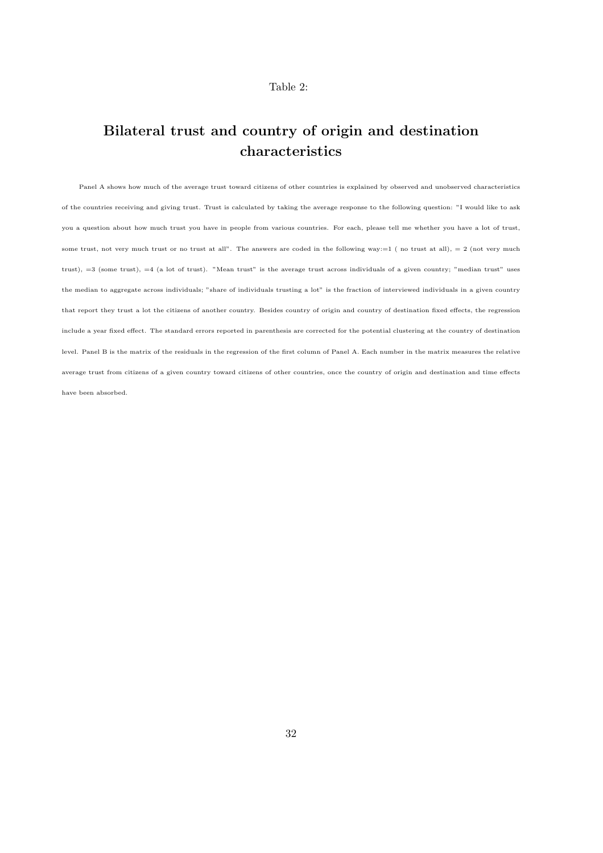#### Table 2:

## Bilateral trust and country of origin and destination characteristics

Panel A shows how much of the average trust toward citizens of other countries is explained by observed and unobserved characteristics of the countries receiving and giving trust. Trust is calculated by taking the average response to the following question: "I would like to ask you a question about how much trust you have in people from various countries. For each, please tell me whether you have a lot of trust, some trust, not very much trust or no trust at all". The answers are coded in the following way: $=1$  (no trust at all),  $=2$  (not very much trust), =3 (some trust), =4 (a lot of trust). "Mean trust" is the average trust across individuals of a given country; "median trust" uses the median to aggregate across individuals; "share of individuals trusting a lot" is the fraction of interviewed individuals in a given country that report they trust a lot the citizens of another country. Besides country of origin and country of destination fixed effects, the regression include a year fixed effect. The standard errors reported in parenthesis are corrected for the potential clustering at the country of destination level. Panel B is the matrix of the residuals in the regression of the first column of Panel A. Each number in the matrix measures the relative average trust from citizens of a given country toward citizens of other countries, once the country of origin and destination and time effects have been absorbed.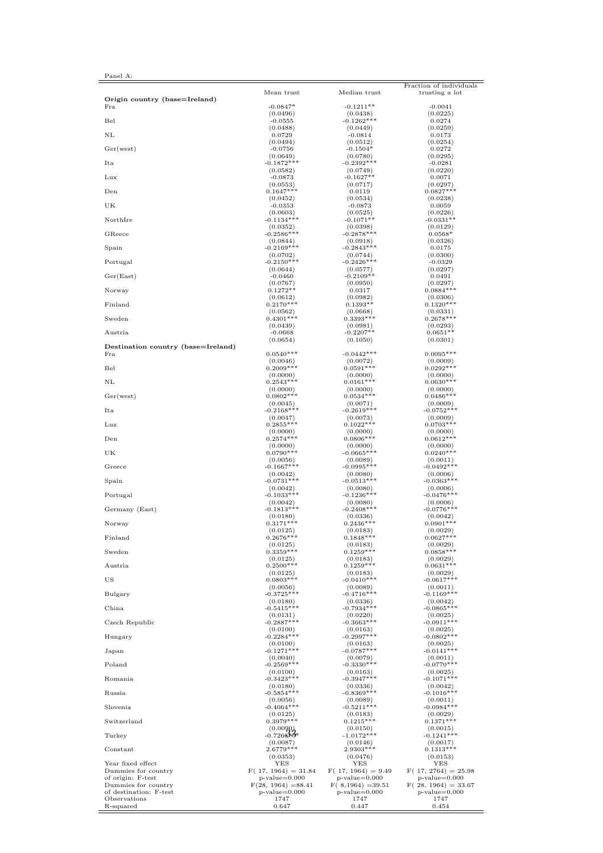| $\cdots$ |  |
|----------|--|
|----------|--|

|                                           | Mean trust                     | Median trust             | Fraction of individuals<br>trusting a lot |
|-------------------------------------------|--------------------------------|--------------------------|-------------------------------------------|
| Origin country (base=Ireland)<br>Fra      | $-0.0847*$                     | $-0.1211**$              | $-0.0041$                                 |
| Bel                                       | (0.0496)                       | (0.0438)                 | (0.0225)                                  |
|                                           | $-0.0555$                      | $-0.1262***$             | 0.0274                                    |
|                                           | (0.0488)                       | (0.0449)                 | (0.0259)                                  |
| NL                                        | 0.0729                         | $-0.0814$                | 0.0173                                    |
|                                           | (0.0494)                       | (0.0512)                 | (0.0254)                                  |
| Ger(west)                                 | $-0.0756$                      | $-0.1504*$               | 0.0272                                    |
|                                           | (0.0649)                       | (0.0780)                 | (0.0295)                                  |
| Ita                                       | $-0.1872***$                   | $-0.2392***$             | $-0.0281$                                 |
| Lux                                       | (0.0582)                       | (0.0749)                 | (0.0220)                                  |
|                                           | $-0.0873$                      | $-0.1627**$              | 0.0071                                    |
| Den                                       | (0.0553)<br>$0.1647***$        | (0.0717)                 | (0.0297)<br>$0.0827***$                   |
|                                           | (0.0452)                       | 0.0119<br>(0.0534)       | (0.0238)                                  |
| UK                                        | $-0.0353$                      | $-0.0873$                | 0.0059                                    |
|                                           | (0.0603)                       | (0.0525)                 | (0.0226)                                  |
| NorthIre                                  | $-0.1134***$                   | $-0.1071**$              | $-0.0331**$                               |
|                                           | (0.0352)                       | (0.0398)                 | (0.0129)                                  |
| GReece                                    | $-0.2586***$                   | $-0.2878***$             | $0.0568*$                                 |
| Spain                                     | (0.0844)                       | (0.0918)                 | (0.0326)                                  |
|                                           | $-0.2169***$                   | $-0.2843***$             | 0.0175                                    |
| Portugal                                  | (0.0702)                       | (0.0744)                 | (0.0300)                                  |
|                                           | $-0.2150***$                   | $-0.2426***$             | $-0.0329$                                 |
|                                           | (0.0644)                       | (0.0577)                 | (0.0297)                                  |
| Ger(East)                                 | $-0.0460$                      | $-0.2109**$              | 0.0491                                    |
|                                           | (0.0767)                       | (0.0950)                 | (0.0297)                                  |
| Norway                                    | $0.1272**$                     | 0.0317                   | $0.0884***$                               |
|                                           | (0.0612)                       | (0.0982)                 | (0.0306)                                  |
| Finland                                   | $0.2170***$                    | $0.1393**$               | $0.1320***$                               |
| Sweden                                    | (0.0562)                       | (0.0668)                 | (0.0331)                                  |
|                                           | $0.4301***$                    | $0.3393***$              | $0.2678***$                               |
| Austria                                   | (0.0439)                       | (0.0981)                 | (0.0293)                                  |
|                                           | $-0.0668$                      | $-0.2207**$              | $0.0651**$                                |
|                                           | (0.0654)                       | (0.1050)                 | (0.0301)                                  |
| Destination country (base=Ireland)<br>Fra | $0.0540***$                    | $-0.0442***$             | $0.0095***$                               |
| Bel                                       | (0.0046)                       | (0.0072)                 | (0.0009)                                  |
|                                           | $0.2009***$                    | $0.0591***$              | $0.0292***$                               |
|                                           | (0.0000)                       | (0.0000)                 | (0.0000)                                  |
| NL                                        | $0.2543***$                    | $0.0161***$              | $0.0630***$                               |
|                                           | (0.0000)                       | (0.0000)                 | (0.0000)                                  |
| Ger(west)                                 | $0.0802***$                    | $0.0534***$              | $0.0486***$                               |
|                                           | (0.0045)                       | (0.0071)                 | (0.0009)                                  |
| Ita                                       | $-0.2168***$                   | $-0.2619***$             | $-0.0752***$                              |
| Lux                                       | (0.0047)                       | (0.0073)                 | (0.0009)                                  |
|                                           | $0.2855***$                    | $0.1022***$              | $0.0703***$                               |
| Den                                       | (0.0000)                       | (0.0000)                 | (0.0000)                                  |
|                                           | $0.2574***$                    | $0.0806***$              | $0.0612***$                               |
|                                           | (0.0000)                       | (0.0000)                 | (0.0000)                                  |
| UK                                        | $0.0790***$                    | $-0.0665***$             | $0.0240***$                               |
|                                           | (0.0056)                       | (0.0089)                 | (0.0011)                                  |
| Greece                                    | $-0.1667***$                   | $-0.0995***$             | $-0.0492***$                              |
|                                           | (0.0042)                       | (0.0080)                 | (0.0006)                                  |
| Spain                                     | $-0.0731***$                   | $-0.0513***$             | $-0.0363***$                              |
|                                           | (0.0042)                       | (0.0080)                 | (0.0006)                                  |
| Portugal                                  | $-0.1033***$                   | $-0.1236***$             | $-0.0476***$                              |
| Germany (East)                            | (0.0042)                       | (0.0080)                 | (0.0006)                                  |
|                                           | $-0.1813***$                   | $-0.2408***$             | $-0.0776***$                              |
| Norway                                    | (0.0180)                       | (0.0336)                 | (0.0042)                                  |
|                                           | $0.3171***$                    | $0.2436***$              | $0.0901***$                               |
|                                           | (0.0125)                       | (0.0183)                 | (0.0029)                                  |
| Finland                                   | $0.2676*$                      | $0.1848*$                | 0.0627                                    |
|                                           | (0.0125)                       | (0.0183)                 | (0.0029)                                  |
| Sweden                                    | $0.3359***$                    | $0.1259***$              | $0.0858***$                               |
|                                           | (0.0125)                       | (0.0183)                 | (0.0029)                                  |
| Austria                                   | $0.2500***$                    | $0.1259***$              | $0.0631***$                               |
| US                                        | (0.0125)                       | (0.0183)                 | (0.0029)                                  |
|                                           | $0.0803***$                    | $-0.0410***$             | $-0.0617***$                              |
| Bulgary                                   | (0.0056)                       | (0.0089)                 | (0.0011)                                  |
|                                           | $-0.3725***$                   | $-0.4716***$             | $-0.1169***$                              |
|                                           | (0.0180)                       | (0.0336)                 | (0.0042)                                  |
|                                           | $-0.5415***$                   | $-0.7934***$             | $-0.0865***$                              |
| China                                     | (0.0131)                       | (0.0220)                 | (0.0025)                                  |
| Czech Republic                            | $-0.2887***$                   | $-0.3663***$             | $-0.0911***$                              |
|                                           | (0.0100)                       | (0.0163)                 | (0.0025)                                  |
| Hungary                                   | $-0.2284***$                   | $-0.2997***$             | $-0.0802***$                              |
|                                           | (0.0100)                       | (0.0163)                 | (0.0025)                                  |
| Japan                                     | $-0.1271***$                   | $-0.0787***$             | $-0.0141***$                              |
| Poland                                    | (0.0040)                       | (0.0079)                 | (0.0011)                                  |
|                                           | $-0.2569***$                   | $-0.3330***$             | $-0.0770***$                              |
| Romania                                   | (0.0100)                       | (0.0163)                 | (0.0025)                                  |
|                                           | $-0.3423***$                   | $-0.3947***$             | $-0.1071***$                              |
|                                           | (0.0180)                       | (0.0336)                 | (0.0042)                                  |
| Russia                                    | $-0.5854***$                   | $-0.8369***$             | $-0.1016***$                              |
|                                           | (0.0056)                       | (0.0089)                 | (0.0011)                                  |
| Slovenia                                  | $-0.4064***$                   | $-0.5211***$             | $-0.0984***$                              |
|                                           | (0.0125)                       | (0.0183)                 | (0.0029)                                  |
| Switzerland                               | $0.3979***$                    | $0.1215***$              | $0.1371***$                               |
| Turkey                                    | $(0.0090)$ <sub>-0.726</sub> 3 | (0.0150)<br>$-1.0172***$ | (0.0015)<br>$-0.1241***$                  |
| Constant                                  | (0.0087)                       | (0.0146)                 | (0.0017)                                  |
|                                           | 2.6779 ***                     | $2.9303***$              | $0.1313***$                               |
|                                           | (0.0353)                       | (0.0476)                 | (0.0153)                                  |
| Year fixed effect                         | YES                            | YES                      | YES                                       |
| Dummies for country                       | $F(17, 1964) = 31.84$          | $F(17, 1964) = 9.49$     | $F(17, 2764) = 25.98$                     |
| of origin: F-test                         | $p-value=0.000$                | $p-value=0.000$          | $p-value=0.000$                           |
| Dummies for country                       | $F(28, 1964) = 88.41$          | $F(8, 1964) = 39.51$     | $F(28, 1964) = 33.67$                     |
| of destination: F-test                    | $p-value=0.000$                | $p-value=0.000$          | $p-value=0.000$                           |
| Observations                              | 1747                           | 1747                     | 1747                                      |
| R-squared                                 | 0.647                          | 0.447                    | 0.454                                     |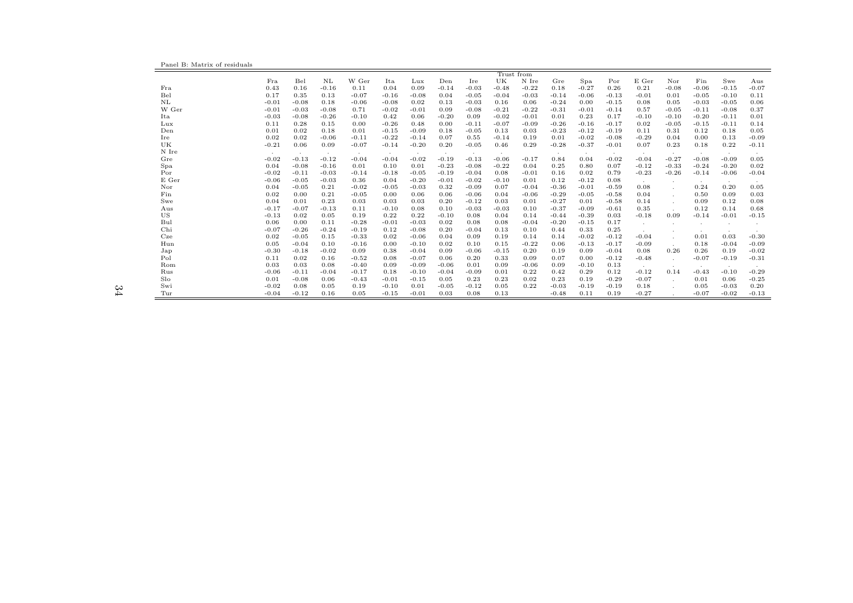Panel B: Matrix of residuals

|       | Trust from |         |         |         |         |         |         |         |         |         |         |         |         |         |              |         |         |         |
|-------|------------|---------|---------|---------|---------|---------|---------|---------|---------|---------|---------|---------|---------|---------|--------------|---------|---------|---------|
|       | Fra        | Bel     | NL      | W Ger   | Ita     | Lux     | Den     | Ire     | UK      | N Ire   | Gre     | Spa     | Por     | E Ger   | Nor          | Fin     | Swe     | Aus     |
| Fra   | 0.43       | 0.16    | $-0.16$ | 0.11    | 0.04    | 0.09    | $-0.14$ | $-0.03$ | $-0.48$ | $-0.22$ | 0.18    | $-0.27$ | 0.26    | 0.21    | $-0.08$      | $-0.06$ | $-0.15$ | $-0.07$ |
| Bel   | 0.17       | 0.35    | 0.13    | $-0.07$ | $-0.16$ | $-0.08$ | 0.04    | $-0.05$ | $-0.04$ | $-0.03$ | $-0.14$ | $-0.06$ | $-0.13$ | $-0.01$ | 0.01         | $-0.05$ | $-0.10$ | 0.11    |
| NL    | $-0.01$    | $-0.08$ | 0.18    | $-0.06$ | $-0.08$ | 0.02    | 0.13    | $-0.03$ | 0.16    | 0.06    | $-0.24$ | 0.00    | $-0.15$ | 0.08    | 0.05         | $-0.03$ | $-0.05$ | 0.06    |
| W Ger | $-0.01$    | $-0.03$ | $-0.08$ | 0.71    | $-0.02$ | $-0.01$ | 0.09    | $-0.08$ | $-0.21$ | $-0.22$ | $-0.31$ | $-0.01$ | $-0.14$ | 0.57    | $-0.05$      | $-0.11$ | $-0.08$ | 0.37    |
| Ita   | $-0.03$    | $-0.08$ | $-0.26$ | $-0.10$ | 0.42    | 0.06    | $-0.20$ | 0.09    | $-0.02$ | $-0.01$ | 0.01    | 0.23    | 0.17    | $-0.10$ | $-0.10$      | $-0.20$ | $-0.11$ | 0.01    |
| Lux   | 0.11       | 0.28    | 0.15    | 0.00    | $-0.26$ | 0.48    | 0.00    | $-0.11$ | $-0.07$ | $-0.09$ | $-0.26$ | $-0.16$ | $-0.17$ | 0.02    | $-0.05$      | $-0.15$ | $-0.11$ | 0.14    |
| Den   | 0.01       | 0.02    | 0.18    | 0.01    | $-0.15$ | $-0.09$ | 0.18    | $-0.05$ | 0.13    | 0.03    | $-0.23$ | $-0.12$ | $-0.19$ | 0.11    | 0.31         | 0.12    | 0.18    | 0.05    |
| Ire   | 0.02       | 0.02    | $-0.06$ | $-0.11$ | $-0.22$ | $-0.14$ | 0.07    | 0.55    | $-0.14$ | 0.19    | 0.01    | $-0.02$ | $-0.08$ | $-0.29$ | 0.04         | 0.00    | 0.13    | $-0.09$ |
| UK    | $-0.21$    | 0.06    | 0.09    | $-0.07$ | $-0.14$ | $-0.20$ | 0.20    | $-0.05$ | 0.46    | 0.29    | $-0.28$ | $-0.37$ | $-0.01$ | 0.07    | 0.23         | 0.18    | 0.22    | $-0.11$ |
| N Ire | $\sim$     | $\sim$  | $\sim$  | $\sim$  | $\sim$  | $\sim$  | $\sim$  | $\sim$  | $\sim$  |         | $\cdot$ | $\sim$  | $\sim$  | $\sim$  | $\sim$       | $\sim$  | $\sim$  |         |
| Gre   | $-0.02$    | $-0.13$ | $-0.12$ | $-0.04$ | $-0.04$ | $-0.02$ | $-0.19$ | $-0.13$ | $-0.06$ | $-0.17$ | 0.84    | 0.04    | $-0.02$ | $-0.04$ | $-0.27$      | $-0.08$ | $-0.09$ | 0.05    |
| Spa   | 0.04       | $-0.08$ | $-0.16$ | 0.01    | 0.10    | 0.01    | $-0.23$ | $-0.08$ | $-0.22$ | 0.04    | 0.25    | 0.80    | 0.07    | $-0.12$ | $-0.33$      | $-0.24$ | $-0.20$ | 0.02    |
| Por   | $-0.02$    | $-0.11$ | $-0.03$ | $-0.14$ | $-0.18$ | $-0.05$ | $-0.19$ | $-0.04$ | 0.08    | $-0.01$ | 0.16    | 0.02    | 0.79    | $-0.23$ | $-0.26$      | $-0.14$ | $-0.06$ | $-0.04$ |
| E Ger | $-0.06$    | $-0.05$ | $-0.03$ | 0.36    | 0.04    | $-0.20$ | $-0.01$ | $-0.02$ | $-0.10$ | 0.01    | 0.12    | $-0.12$ | 0.08    | $\sim$  | $\cdot$      | $\sim$  | $\sim$  |         |
| Nor   | 0.04       | $-0.05$ | 0.21    | $-0.02$ | $-0.05$ | $-0.03$ | 0.32    | $-0.09$ | 0.07    | $-0.04$ | $-0.36$ | $-0.01$ | $-0.59$ | 0.08    |              | 0.24    | 0.20    | 0.05    |
| Fin   | 0.02       | 0.00    | 0.21    | $-0.05$ | 0.00    | 0.06    | 0.06    | $-0.06$ | 0.04    | $-0.06$ | $-0.29$ | $-0.05$ | $-0.58$ | 0.04    | $\mathbf{r}$ | 0.50    | 0.09    | 0.03    |
| Swe   | 0.04       | 0.01    | 0.23    | 0.03    | 0.03    | 0.03    | 0.20    | $-0.12$ | 0.03    | 0.01    | $-0.27$ | 0.01    | $-0.58$ | 0.14    |              | 0.09    | 0.12    | 0.08    |
| Aus   | $-0.17$    | $-0.07$ | $-0.13$ | 0.11    | $-0.10$ | 0.08    | 0.10    | $-0.03$ | $-0.03$ | 0.10    | $-0.37$ | $-0.09$ | $-0.61$ | 0.35    | $\mathbf{r}$ | 0.12    | 0.14    | 0.68    |
| US    | $-0.13$    | 0.02    | 0.05    | 0.19    | 0.22    | 0.22    | $-0.10$ | 0.08    | 0.04    | 0.14    | $-0.44$ | $-0.39$ | 0.03    | $-0.18$ | 0.09         | $-0.14$ | $-0.01$ | $-0.15$ |
| Bul   | 0.06       | 0.00    | 0.11    | $-0.28$ | $-0.01$ | $-0.03$ | 0.02    | 0.08    | 0.08    | $-0.04$ | $-0.20$ | $-0.15$ | 0.17    | $\sim$  | $\mathbf{r}$ | $\cdot$ | $\sim$  |         |
| Chi   | $-0.07$    | $-0.26$ | $-0.24$ | $-0.19$ | 0.12    | $-0.08$ | 0.20    | $-0.04$ | 0.13    | 0.10    | 0.44    | 0.33    | 0.25    |         |              | $\cdot$ | $\sim$  |         |
| Cze   | 0.02       | $-0.05$ | 0.15    | $-0.33$ | 0.02    | $-0.06$ | 0.04    | 0.09    | 0.19    | 0.14    | 0.14    | $-0.02$ | $-0.12$ | $-0.04$ |              | 0.01    | 0.03    | $-0.30$ |
| Hun   | 0.05       | $-0.04$ | 0.10    | $-0.16$ | 0.00    | $-0.10$ | 0.02    | 0.10    | 0.15    | $-0.22$ | 0.06    | $-0.13$ | $-0.17$ | $-0.09$ | $\mathbf{r}$ | 0.18    | $-0.04$ | $-0.09$ |
| Jap   | $-0.30$    | $-0.18$ | $-0.02$ | 0.09    | 0.38    | $-0.04$ | 0.09    | $-0.06$ | $-0.15$ | 0.20    | 0.19    | 0.09    | $-0.04$ | 0.08    | 0.26         | 0.26    | 0.19    | $-0.02$ |
| Pol   | 0.11       | 0.02    | 0.16    | $-0.52$ | 0.08    | $-0.07$ | 0.06    | 0.20    | 0.33    | 0.09    | 0.07    | 0.00    | $-0.12$ | $-0.48$ |              | $-0.07$ | $-0.19$ | $-0.31$ |
| Rom   | 0.03       | 0.03    | 0.08    | $-0.40$ | 0.09    | $-0.09$ | $-0.06$ | 0.01    | 0.09    | $-0.06$ | 0.09    | $-0.10$ | 0.13    | $\sim$  | $\mathbf{r}$ | $\cdot$ | $\sim$  |         |
| Rus   | $-0.06$    | $-0.11$ | $-0.04$ | $-0.17$ | 0.18    | $-0.10$ | $-0.04$ | $-0.09$ | 0.01    | 0.22    | 0.42    | 0.29    | 0.12    | $-0.12$ | 0.14         | $-0.43$ | $-0.10$ | $-0.29$ |
| Slo   | 0.01       | $-0.08$ | 0.06    | $-0.43$ | $-0.01$ | $-0.15$ | 0.05    | 0.23    | 0.23    | 0.02    | 0.23    | 0.19    | $-0.29$ | $-0.07$ | ×.           | 0.01    | 0.06    | $-0.25$ |
| Swi   | $-0.02$    | 0.08    | 0.05    | 0.19    | $-0.10$ | 0.01    | $-0.05$ | $-0.12$ | 0.05    | 0.22    | $-0.03$ | $-0.19$ | $-0.19$ | 0.18    |              | 0.05    | $-0.03$ | 0.20    |
| Tur   | $-0.04$    | $-0.12$ | 0.16    | 0.05    | $-0.15$ | $-0.01$ | 0.03    | 0.08    | 0.13    |         | $-0.48$ | 0.11    | 0.19    | $-0.27$ |              | $-0.07$ | $-0.02$ | $-0.13$ |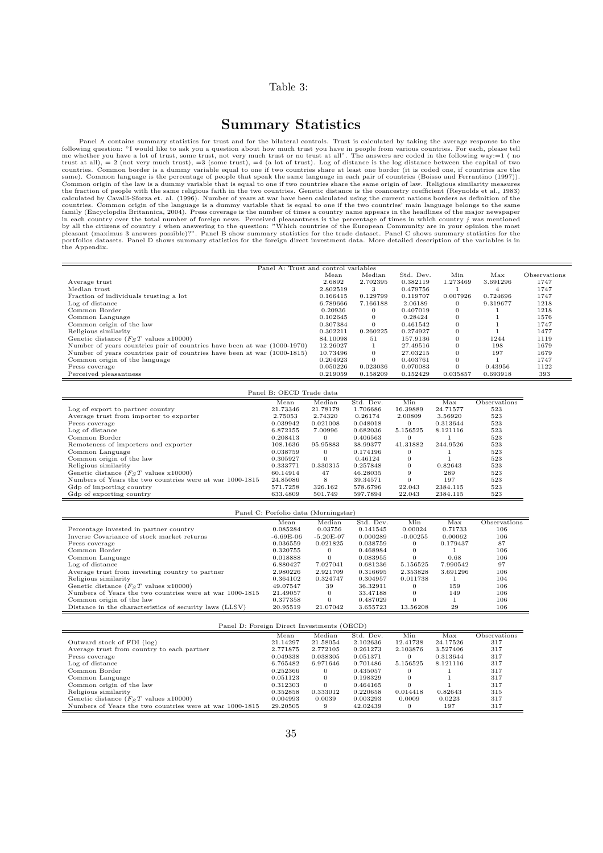#### Table 3:

## Summary Statistics

Panel A contains summary statistics for trust and for the bilateral controls. Trust is calculated by taking the average response to the following question: "I would like to ask you a question about how much trust you have calculated by Cavalli-Sforza et. al. (1996). Number of years at war have been calculated using the current nations borders as definition of the<br>countries. Common origin of the language is a dummy variable that is equal to by all the citizens of country *i* when answering to the question: "Which countries of the European Community are in your opinion the most<br>pleasant (maximus 3 answers possible)?". Panel B show summary statistics for the tr

| Panel A: Trust and control variables                                     |          |              |           |              |          |              |
|--------------------------------------------------------------------------|----------|--------------|-----------|--------------|----------|--------------|
|                                                                          | Mean     | Median       | Std. Dev. | Min          | Max      | Observations |
| Average trust                                                            | 2.6892   | 2.702395     | 0.382119  | 1.273469     | 3.691296 | 1747         |
| Median trust                                                             | 2.802519 | 3            | 0.479756  |              |          | 1747         |
| Fraction of individuals trusting a lot                                   | 0.166415 | 0.129799     | 0.119707  | 0.007926     | 0.724696 | 1747         |
| Log of distance                                                          | 6.789666 | 7.166188     | 2.06189   | 0            | 9.319677 | 1218         |
| Common Border                                                            | 0.20936  | 0            | 0.407019  | 0            |          | 1218         |
| Common Language                                                          | 0.102645 | $\mathbf{0}$ | 0.28424   | $\theta$     |          | 1576         |
| Common origin of the law                                                 | 0.307384 | $\mathbf{0}$ | 0.461542  | $\mathbf{0}$ |          | 1747         |
| Religious similarity                                                     | 0.302211 | 0.260225     | 0.274927  | $\mathbf{0}$ |          | 1477         |
| Genetic distance $(FST$ values x10000)                                   | 84.10098 | 51           | 157.9136  | $\mathbf{0}$ | 1244     | 1119         |
| Number of years countries pair of countries have been at war (1000-1970) | 12.26027 |              | 27.49516  | $\Omega$     | 198      | 1679         |
| Number of years countries pair of countries have been at war (1000-1815) | 10.73496 | $\Omega$     | 27.03215  | $\mathbf{0}$ | 197      | 1679         |
| Common origin of the language                                            | 0.204923 | $\Omega$     | 0.403761  | $\mathbf{0}$ |          | 1747         |
| Press coverage                                                           | 0.050226 | 0.023036     | 0.070083  | $\Omega$     | 0.43956  | 1122         |
| Perceived pleasantness                                                   | 0.219059 | 0.158209     | 0.152429  | 0.035857     | 0.693918 | 393          |

| Panel B: OECD Trade data                                 |          |          |           |          |          |              |  |  |  |  |  |
|----------------------------------------------------------|----------|----------|-----------|----------|----------|--------------|--|--|--|--|--|
|                                                          | Mean     | Median   | Std. Dev. | Min      | Max      | Observations |  |  |  |  |  |
| Log of export to partner country                         | 21.73346 | 21.78179 | 1.706686  | 16.39889 | 24.71577 | 523          |  |  |  |  |  |
| Average trust from importer to exporter                  | 2.75053  | 2.74320  | 0.26174   | 2.00809  | 3.56920  | 523          |  |  |  |  |  |
| Press coverage                                           | 0.039942 | 0.021008 | 0.048018  | $\Omega$ | 0.313644 | 523          |  |  |  |  |  |
| Log of distance                                          | 6.872155 | 7.00996  | 0.682036  | 5.156525 | 8.121116 | 523          |  |  |  |  |  |
| Common Border                                            | 0.208413 | 0        | 0.406563  | 0        |          | 523          |  |  |  |  |  |
| Remoteness of importers and exporter                     | 108.1636 | 95.95883 | 38.99377  | 41.31882 | 244.9526 | 523          |  |  |  |  |  |
| Common Language                                          | 0.038759 | 0        | 0.174196  | $\Omega$ |          | 523          |  |  |  |  |  |
| Common origin of the law                                 | 0.305927 | $\Omega$ | 0.46124   | $\Omega$ |          | 523          |  |  |  |  |  |
| Religious similarity                                     | 0.333771 | 0.330315 | 0.257848  | $\Omega$ | 0.82643  | 523          |  |  |  |  |  |
| Genetic distance $(FST)$ values x10000)                  | 60.14914 | 47       | 46.28035  | 9        | 289      | 523          |  |  |  |  |  |
| Numbers of Years the two countries were at war 1000-1815 | 24.85086 | 8        | 39.34571  | $\Omega$ | 197      | 523          |  |  |  |  |  |
| Gdp of importing country                                 | 571.7258 | 326.162  | 578.6796  | 22.043   | 2384.115 | 523          |  |  |  |  |  |
| Gdp of exporting country                                 | 633.4809 | 501.749  | 597.7894  | 22.043   | 2384.115 | 523          |  |  |  |  |  |

| Panel C: Porfolio data (Morningstar)                     |             |             |           |            |          |              |  |  |  |  |  |
|----------------------------------------------------------|-------------|-------------|-----------|------------|----------|--------------|--|--|--|--|--|
|                                                          | Mean        | Median      | Std. Dev. | Min        | Max      | Observations |  |  |  |  |  |
| Percentage invested in partner country                   | 0.085284    | 0.03756     | 0.141545  | 0.00024    | 0.71733  | 106          |  |  |  |  |  |
| Inverse Covariance of stock market returns               | $-6.69E-06$ | $-5.20E-07$ | 0.000289  | $-0.00255$ | 0.00062  | 106          |  |  |  |  |  |
| Press coverage                                           | 0.036559    | 0.021825    | 0.038759  |            | 0.179437 | 87           |  |  |  |  |  |
| Common Border                                            | 0.320755    |             | 0.468984  |            |          | 106          |  |  |  |  |  |
| Common Language                                          | 0.018888    | $\Omega$    | 0.083955  |            | 0.68     | 106          |  |  |  |  |  |
| Log of distance                                          | 6.880427    | 7.027041    | 0.681236  | 5.156525   | 7.990542 | 97           |  |  |  |  |  |
| Average trust from investing country to partner          | 2.980226    | 2.921709    | 0.316695  | 2.353828   | 3.691296 | 106          |  |  |  |  |  |
| Religious similarity                                     | 0.364102    | 0.324747    | 0.304957  | 0.011738   |          | 104          |  |  |  |  |  |
| Genetic distance $(FgT$ values x10000)                   | 49.07547    | 39          | 36.32911  |            | 159      | 106          |  |  |  |  |  |
| Numbers of Years the two countries were at war 1000-1815 | 21.49057    | $\Omega$    | 33.47188  |            | 149      | 106          |  |  |  |  |  |
| Common origin of the law                                 | 0.377358    | $\Omega$    | 0.487029  |            |          | 106          |  |  |  |  |  |
| Distance in the characteristics of security laws (LLSV)  | 20.95519    | 21.07042    | 3.655723  | 13.56208   | 29       | 106          |  |  |  |  |  |

| Panel D: Foreign Direct Investments (OECD)               |          |          |           |          |          |              |  |  |  |  |  |
|----------------------------------------------------------|----------|----------|-----------|----------|----------|--------------|--|--|--|--|--|
|                                                          | Mean     | Median   | Std. Dev. | Min      | Max      | Observations |  |  |  |  |  |
| Outward stock of FDI (log)                               | 21.14297 | 21.58054 | 2.102636  | 12.41738 | 24.17526 | 317          |  |  |  |  |  |
| Average trust from country to each partner               | 2.771875 | 2.772105 | 0.261273  | 2.103876 | 3.527406 | 317          |  |  |  |  |  |
| Press coverage                                           | 0.049338 | 0.038305 | 0.051371  |          | 0.313644 | 317          |  |  |  |  |  |
| Log of distance                                          | 6.765482 | 6.971646 | 0.701486  | 5.156525 | 8.121116 | 317          |  |  |  |  |  |
| Common Border                                            | 0.252366 | $\Omega$ | 0.435057  |          |          | 317          |  |  |  |  |  |
| Common Language                                          | 0.051123 | $\Omega$ | 0.198329  |          |          | 317          |  |  |  |  |  |
| Common origin of the law                                 | 0.312303 | $\Omega$ | 0.464165  |          |          | 317          |  |  |  |  |  |
| Religious similarity                                     | 0.352858 | 0.333012 | 0.220658  | 0.014418 | 0.82643  | 315          |  |  |  |  |  |
| Genetic distance $(FgT$ values x10000)                   | 0.004993 | 0.0039   | 0.003293  | 0.0009   | 0.0223   | 317          |  |  |  |  |  |
| Numbers of Years the two countries were at war 1000-1815 | 29.20505 | 9        | 42.02439  |          | 197      | 317          |  |  |  |  |  |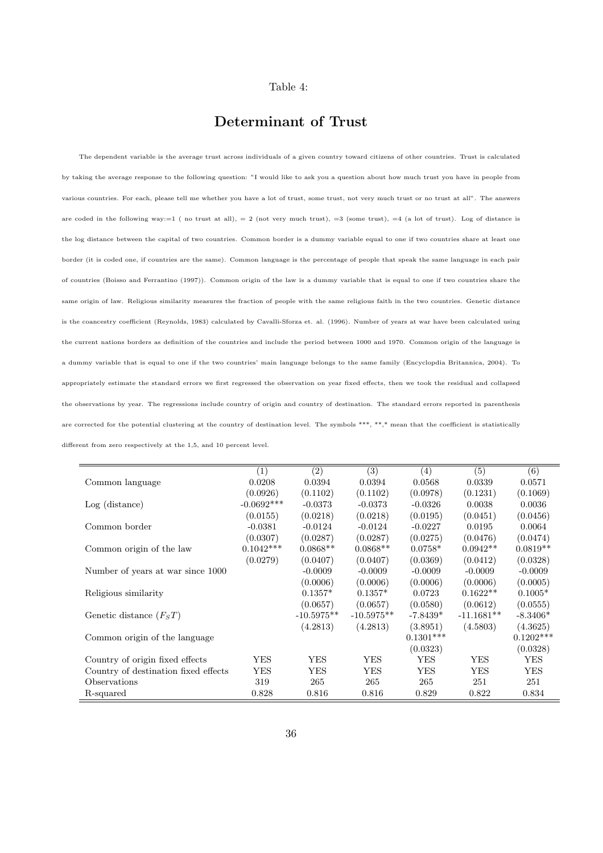#### Table 4:

## Determinant of Trust

The dependent variable is the average trust across individuals of a given country toward citizens of other countries. Trust is calculated by taking the average response to the following question: "I would like to ask you a question about how much trust you have in people from various countries. For each, please tell me whether you have a lot of trust, some trust, not very much trust or no trust at all". The answers are coded in the following way: $=1$  (no trust at all),  $=2$  (not very much trust),  $=3$  (some trust),  $=4$  (a lot of trust). Log of distance is the log distance between the capital of two countries. Common border is a dummy variable equal to one if two countries share at least one border (it is coded one, if countries are the same). Common language is the percentage of people that speak the same language in each pair of countries (Boisso and Ferrantino (1997)). Common origin of the law is a dummy variable that is equal to one if two countries share the same origin of law. Religious similarity measures the fraction of people with the same religious faith in the two countries. Genetic distance is the coancestry coefficient (Reynolds, 1983) calculated by Cavalli-Sforza et. al. (1996). Number of years at war have been calculated using the current nations borders as definition of the countries and include the period between 1000 and 1970. Common origin of the language is a dummy variable that is equal to one if the two countries' main language belongs to the same family (Encyclopdia Britannica, 2004). To appropriately estimate the standard errors we first regressed the observation on year fixed effects, then we took the residual and collapsed the observations by year. The regressions include country of origin and country of destination. The standard errors reported in parenthesis are corrected for the potential clustering at the country of destination level. The symbols \*\*\*, \*\*,\* mean that the coefficient is statistically different from zero respectively at the 1,5, and 10 percent level.

|                                      | (1)          | $\overline{(2)}$ | (3)          | (4)         | (5)          | (6)         |
|--------------------------------------|--------------|------------------|--------------|-------------|--------------|-------------|
| Common language                      | 0.0208       | 0.0394           | 0.0394       | 0.0568      | 0.0339       | 0.0571      |
|                                      | (0.0926)     | (0.1102)         | (0.1102)     | (0.0978)    | (0.1231)     | (0.1069)    |
| $Log$ (distance)                     | $-0.0692***$ | $-0.0373$        | $-0.0373$    | $-0.0326$   | 0.0038       | 0.0036      |
|                                      | (0.0155)     | (0.0218)         | (0.0218)     | (0.0195)    | (0.0451)     | (0.0456)    |
| Common border                        | $-0.0381$    | $-0.0124$        | $-0.0124$    | $-0.0227$   | 0.0195       | 0.0064      |
|                                      | (0.0307)     | (0.0287)         | (0.0287)     | (0.0275)    | (0.0476)     | (0.0474)    |
| Common origin of the law             | $0.1042***$  | $0.0868**$       | $0.0868**$   | $0.0758*$   | $0.0942**$   | $0.0819**$  |
|                                      | (0.0279)     | (0.0407)         | (0.0407)     | (0.0369)    | (0.0412)     | (0.0328)    |
| Number of years at war since 1000    |              | $-0.0009$        | $-0.0009$    | $-0.0009$   | $-0.0009$    | $-0.0009$   |
|                                      |              | (0.0006)         | (0.0006)     | (0.0006)    | (0.0006)     | (0.0005)    |
| Religious similarity                 |              | $0.1357*$        | $0.1357*$    | 0.0723      | $0.1622**$   | $0.1005*$   |
|                                      |              | (0.0657)         | (0.0657)     | (0.0580)    | (0.0612)     | (0.0555)    |
| Genetic distance $(FST)$             |              | $-10.5975**$     | $-10.5975**$ | $-7.8439*$  | $-11.1681**$ | $-8.3406*$  |
|                                      |              | (4.2813)         | (4.2813)     | (3.8951)    | (4.5803)     | (4.3625)    |
| Common origin of the language        |              |                  |              | $0.1301***$ |              | $0.1202***$ |
|                                      |              |                  |              | (0.0323)    |              | (0.0328)    |
| Country of origin fixed effects      | YES          | YES              | YES          | YES         | YES          | YES         |
| Country of destination fixed effects | YES          | <b>YES</b>       | <b>YES</b>   | <b>YES</b>  | YES          | YES.        |
| Observations                         | 319          | 265              | 265          | 265         | 251          | 251         |
| R-squared                            | 0.828        | 0.816            | 0.816        | 0.829       | 0.822        | 0.834       |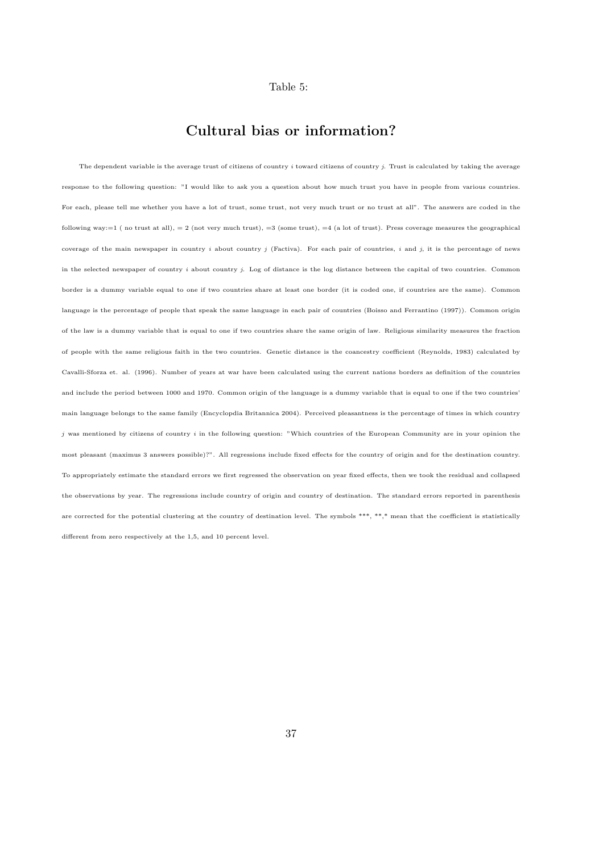#### Table 5:

## Cultural bias or information?

The dependent variable is the average trust of citizens of country  $i$  toward citizens of country  $j$ . Trust is calculated by taking the average response to the following question: "I would like to ask you a question about how much trust you have in people from various countries. For each, please tell me whether you have a lot of trust, some trust, not very much trust or no trust at all". The answers are coded in the following way:=1 (no trust at all), = 2 (not very much trust), =3 (some trust), =4 (a lot of trust). Press coverage measures the geographical coverage of the main newspaper in country i about country j (Factiva). For each pair of countries, i and j, it is the percentage of news in the selected newspaper of country  $i$  about country  $j$ . Log of distance is the log distance between the capital of two countries. Common border is a dummy variable equal to one if two countries share at least one border (it is coded one, if countries are the same). Common language is the percentage of people that speak the same language in each pair of countries (Boisso and Ferrantino (1997)). Common origin of the law is a dummy variable that is equal to one if two countries share the same origin of law. Religious similarity measures the fraction of people with the same religious faith in the two countries. Genetic distance is the coancestry coefficient (Reynolds, 1983) calculated by Cavalli-Sforza et. al. (1996). Number of years at war have been calculated using the current nations borders as definition of the countries and include the period between 1000 and 1970. Common origin of the language is a dummy variable that is equal to one if the two countries' main language belongs to the same family (Encyclopdia Britannica 2004). Perceived pleasantness is the percentage of times in which country  $j$  was mentioned by citizens of country  $i$  in the following question: "Which countries of the European Community are in your opinion the most pleasant (maximus 3 answers possible)?". All regressions include fixed effects for the country of origin and for the destination country. To appropriately estimate the standard errors we first regressed the observation on year fixed effects, then we took the residual and collapsed the observations by year. The regressions include country of origin and country of destination. The standard errors reported in parenthesis are corrected for the potential clustering at the country of destination level. The symbols \*\*\*, \*\*,\* mean that the coefficient is statistically different from zero respectively at the 1,5, and 10 percent level.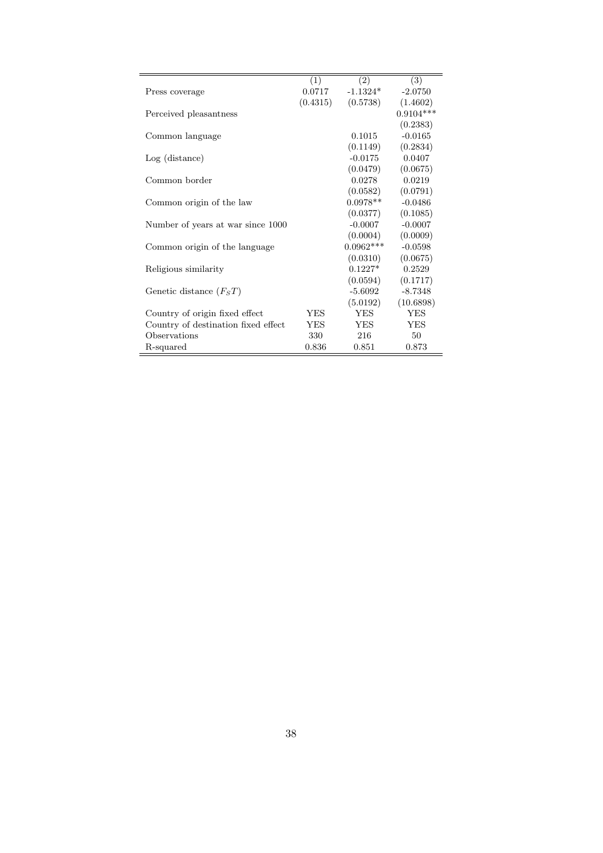|                                     | (1)        | (2)         | (3)         |
|-------------------------------------|------------|-------------|-------------|
| Press coverage                      | 0.0717     | $-1.1324*$  | $-2.0750$   |
|                                     | (0.4315)   | (0.5738)    | (1.4602)    |
| Perceived pleasantness              |            |             | $0.9104***$ |
|                                     |            |             | (0.2383)    |
| Common language                     |            | 0.1015      | $-0.0165$   |
|                                     |            | (0.1149)    | (0.2834)    |
| $Log$ (distance)                    |            | $-0.0175$   | 0.0407      |
|                                     |            | (0.0479)    | (0.0675)    |
| Common border                       |            | 0.0278      | 0.0219      |
|                                     |            | (0.0582)    | (0.0791)    |
| Common origin of the law            |            | $0.0978**$  | $-0.0486$   |
|                                     |            | (0.0377)    | (0.1085)    |
| Number of years at war since 1000   |            | $-0.0007$   | $-0.0007$   |
|                                     |            | (0.0004)    | (0.0009)    |
| Common origin of the language       |            | $0.0962***$ | $-0.0598$   |
|                                     |            | (0.0310)    | (0.0675)    |
| Religious similarity                |            | $0.1227*$   | 0.2529      |
|                                     |            | (0.0594)    | (0.1717)    |
| Genetic distance $(F_ST)$           |            | -5.6092     | $-8.7348$   |
|                                     |            | (5.0192)    | (10.6898)   |
| Country of origin fixed effect      | YES        | <b>YES</b>  | <b>YES</b>  |
| Country of destination fixed effect | <b>YES</b> | <b>YES</b>  | <b>YES</b>  |
| Observations                        | 330        | 216         | 50          |
| R-squared                           | 0.836      | 0.851       | 0.873       |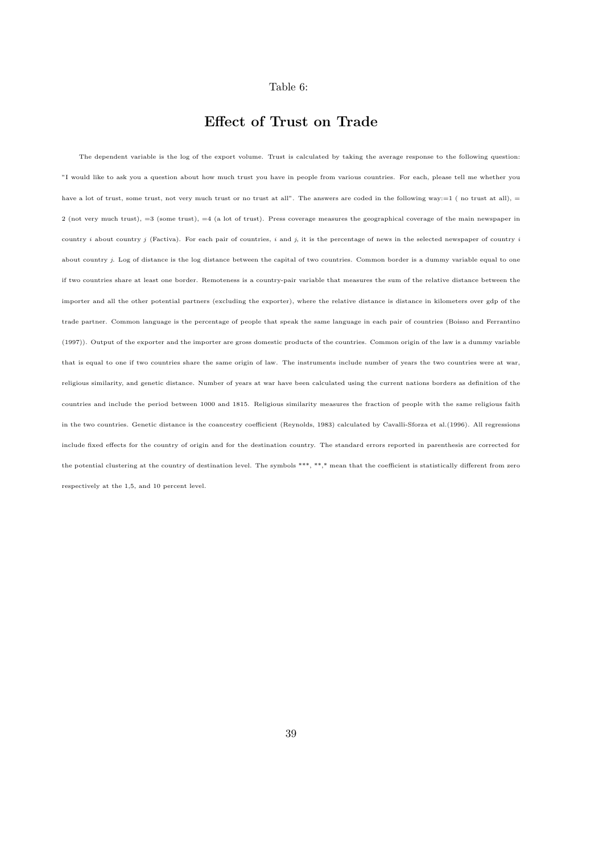#### Table 6:

## Effect of Trust on Trade

The dependent variable is the log of the export volume. Trust is calculated by taking the average response to the following question: "I would like to ask you a question about how much trust you have in people from various countries. For each, please tell me whether you have a lot of trust, some trust, not very much trust or no trust at all". The answers are coded in the following way:=1 (no trust at all), = 2 (not very much trust), =3 (some trust), =4 (a lot of trust). Press coverage measures the geographical coverage of the main newspaper in country i about country j (Factiva). For each pair of countries, i and j, it is the percentage of news in the selected newspaper of country i about country  $j$ . Log of distance is the log distance between the capital of two countries. Common border is a dummy variable equal to one if two countries share at least one border. Remoteness is a country-pair variable that measures the sum of the relative distance between the importer and all the other potential partners (excluding the exporter), where the relative distance is distance in kilometers over gdp of the trade partner. Common language is the percentage of people that speak the same language in each pair of countries (Boisso and Ferrantino (1997)). Output of the exporter and the importer are gross domestic products of the countries. Common origin of the law is a dummy variable that is equal to one if two countries share the same origin of law. The instruments include number of years the two countries were at war, religious similarity, and genetic distance. Number of years at war have been calculated using the current nations borders as definition of the countries and include the period between 1000 and 1815. Religious similarity measures the fraction of people with the same religious faith in the two countries. Genetic distance is the coancestry coefficient (Reynolds, 1983) calculated by Cavalli-Sforza et al.(1996). All regressions include fixed effects for the country of origin and for the destination country. The standard errors reported in parenthesis are corrected for the potential clustering at the country of destination level. The symbols \*\*\*, \*\*,\* mean that the coefficient is statistically different from zero respectively at the 1,5, and 10 percent level.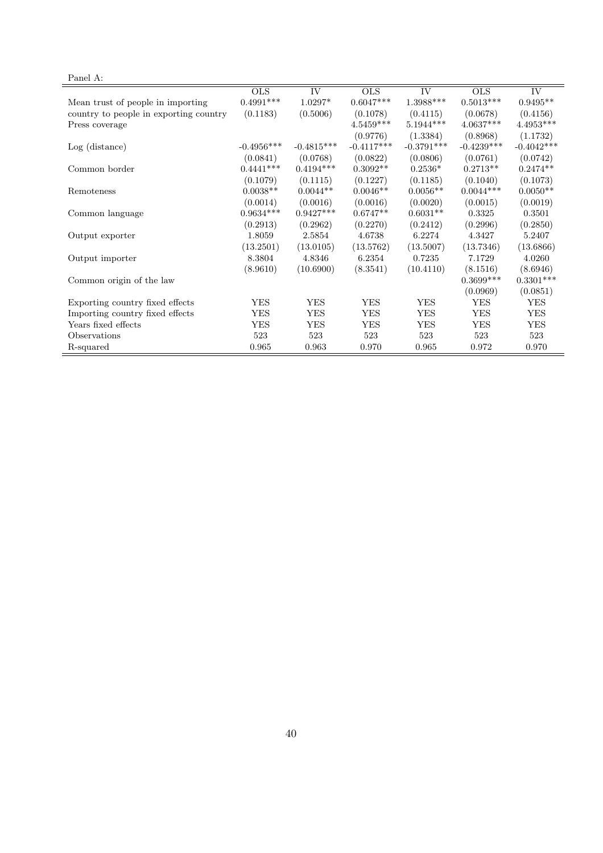# Panel A:

| 1 and 11.                              |              |                     |              |                     |              |              |
|----------------------------------------|--------------|---------------------|--------------|---------------------|--------------|--------------|
|                                        | OLS          | $\overline{\rm IV}$ | OLS          | $\overline{\rm IV}$ | <b>OLS</b>   | IV           |
| Mean trust of people in importing      | $0.4991***$  | $1.0297*$           | $0.6047***$  | $1.3988***$         | $0.5013***$  | $0.9495**$   |
| country to people in exporting country | (0.1183)     | (0.5006)            | (0.1078)     | (0.4115)            | (0.0678)     | (0.4156)     |
| Press coverage                         |              |                     | $4.5459***$  | $5.1944***$         | $4.0637***$  | $4.4953***$  |
|                                        |              |                     | (0.9776)     | (1.3384)            | (0.8968)     | (1.1732)     |
| $Log$ (distance)                       | $-0.4956***$ | $-0.4815***$        | $-0.4117***$ | $-0.3791***$        | $-0.4239***$ | $-0.4042***$ |
|                                        | (0.0841)     | (0.0768)            | (0.0822)     | (0.0806)            | (0.0761)     | (0.0742)     |
| Common border                          | $0.4441***$  | $0.4194***$         | $0.3092**$   | $0.2536*$           | $0.2713**$   | $0.2474**$   |
|                                        | (0.1079)     | (0.1115)            | (0.1227)     | (0.1185)            | (0.1040)     | (0.1073)     |
| Remoteness                             | $0.0038**$   | $0.0044**$          | $0.0046**$   | $0.0056**$          | $0.0044***$  | $0.0050**$   |
|                                        | (0.0014)     | (0.0016)            | (0.0016)     | (0.0020)            | (0.0015)     | (0.0019)     |
| Common language                        | $0.9634***$  | $0.9427***$         | $0.6747**$   | $0.6031**$          | 0.3325       | 0.3501       |
|                                        | (0.2913)     | (0.2962)            | (0.2270)     | (0.2412)            | (0.2996)     | (0.2850)     |
| Output exporter                        | 1.8059       | 2.5854              | 4.6738       | 6.2274              | 4.3427       | 5.2407       |
|                                        | (13.2501)    | (13.0105)           | (13.5762)    | (13.5007)           | (13.7346)    | (13.6866)    |
| Output importer                        | 8.3804       | 4.8346              | 6.2354       | 0.7235              | 7.1729       | 4.0260       |
|                                        | (8.9610)     | (10.6900)           | (8.3541)     | (10.4110)           | (8.1516)     | (8.6946)     |
| Common origin of the law               |              |                     |              |                     | $0.3699***$  | $0.3301***$  |
|                                        |              |                     |              |                     | (0.0969)     | (0.0851)     |
| Exporting country fixed effects        | <b>YES</b>   | <b>YES</b>          | <b>YES</b>   | <b>YES</b>          | <b>YES</b>   | <b>YES</b>   |
| Importing country fixed effects        | <b>YES</b>   | <b>YES</b>          | <b>YES</b>   | <b>YES</b>          | <b>YES</b>   | <b>YES</b>   |
| Years fixed effects                    | <b>YES</b>   | <b>YES</b>          | <b>YES</b>   | <b>YES</b>          | <b>YES</b>   | <b>YES</b>   |
| Observations                           | 523          | 523                 | 523          | 523                 | 523          | 523          |
| R-squared                              | 0.965        | 0.963               | 0.970        | 0.965               | 0.972        | 0.970        |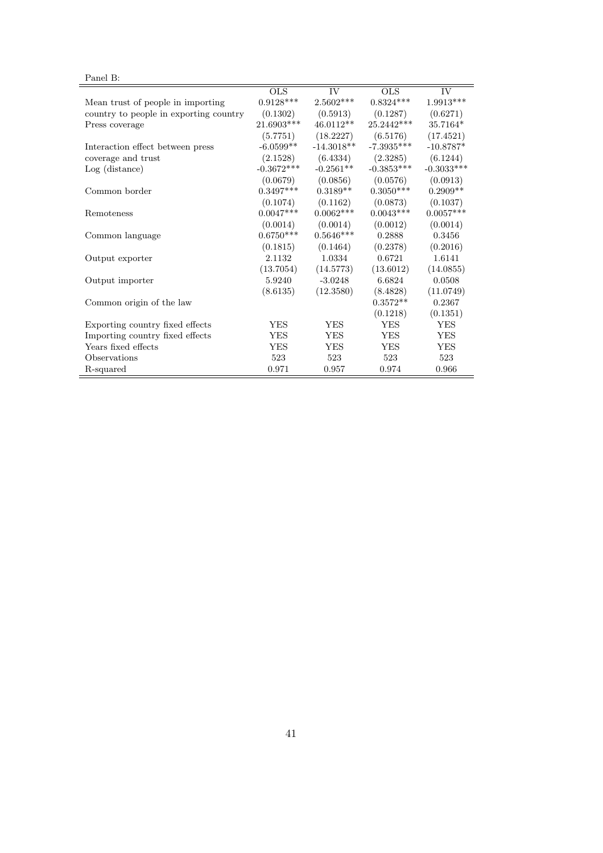# Panel B:

|                                        | $_{\rm OLS}$ | IV           | OLS.         | IV.          |
|----------------------------------------|--------------|--------------|--------------|--------------|
| Mean trust of people in importing      | $0.9128***$  | $2.5602***$  | $0.8324***$  | $1.9913***$  |
| country to people in exporting country | (0.1302)     | (0.5913)     | (0.1287)     | (0.6271)     |
| Press coverage                         | 21.6903***   | 46.0112**    | 25.2442***   | 35.7164*     |
|                                        | (5.7751)     | (18.2227)    | (6.5176)     | (17.4521)    |
| Interaction effect between press       | $-6.0599**$  | $-14.3018**$ | $-7.3935***$ | $-10.8787*$  |
| coverage and trust                     | (2.1528)     | (6.4334)     | (2.3285)     | (6.1244)     |
| $Log$ (distance)                       | $-0.3672***$ | $-0.2561**$  | $-0.3853***$ | $-0.3033***$ |
|                                        | (0.0679)     | (0.0856)     | (0.0576)     | (0.0913)     |
| Common border                          | $0.3497***$  | $0.3189**$   | $0.3050***$  | $0.2909**$   |
|                                        | (0.1074)     | (0.1162)     | (0.0873)     | (0.1037)     |
| Remoteness                             | $0.0047***$  | $0.0062***$  | $0.0043***$  | $0.0057***$  |
|                                        | (0.0014)     | (0.0014)     | (0.0012)     | (0.0014)     |
| Common language                        | $0.6750***$  | $0.5646***$  | 0.2888       | 0.3456       |
|                                        | (0.1815)     | (0.1464)     | (0.2378)     | (0.2016)     |
| Output exporter                        | 2.1132       | 1.0334       | 0.6721       | 1.6141       |
|                                        | (13.7054)    | (14.5773)    | (13.6012)    | (14.0855)    |
| Output importer                        | 5.9240       | $-3.0248$    | 6.6824       | 0.0508       |
|                                        | (8.6135)     | (12.3580)    | (8.4828)     | (11.0749)    |
| Common origin of the law               |              |              | $0.3572**$   | 0.2367       |
|                                        |              |              | (0.1218)     | (0.1351)     |
| Exporting country fixed effects        | <b>YES</b>   | <b>YES</b>   | <b>YES</b>   | <b>YES</b>   |
| Importing country fixed effects        | <b>YES</b>   | <b>YES</b>   | <b>YES</b>   | <b>YES</b>   |
| Years fixed effects                    | <b>YES</b>   | <b>YES</b>   | <b>YES</b>   | <b>YES</b>   |
| Observations                           | 523          | 523          | 523          | 523          |
| R-squared                              | 0.971        | 0.957        | 0.974        | 0.966        |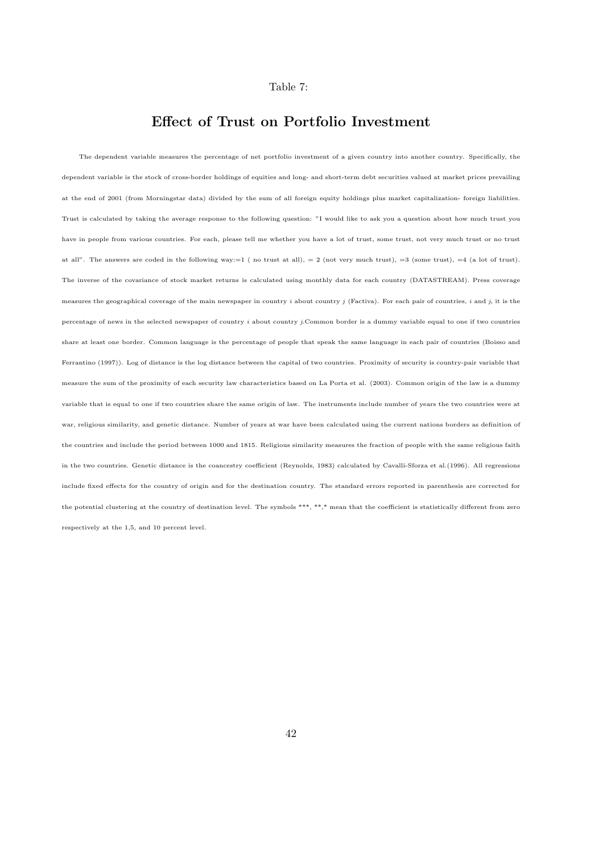#### Table 7:

## Effect of Trust on Portfolio Investment

The dependent variable measures the percentage of net portfolio investment of a given country into another country. Specifically, the dependent variable is the stock of cross-border holdings of equities and long- and short-term debt securities valued at market prices prevailing at the end of 2001 (from Morningstar data) divided by the sum of all foreign equity holdings plus market capitalization- foreign liabilities. Trust is calculated by taking the average response to the following question: "I would like to ask you a question about how much trust you have in people from various countries. For each, please tell me whether you have a lot of trust, some trust, not very much trust or no trust at all". The answers are coded in the following way:=1 (no trust at all), = 2 (not very much trust), =3 (some trust), =4 (a lot of trust). The inverse of the covariance of stock market returns is calculated using monthly data for each country (DATASTREAM). Press coverage measures the geographical coverage of the main newspaper in country  $i$  about country  $j$  (Factiva). For each pair of countries,  $i$  and  $j$ , it is the percentage of news in the selected newspaper of country  $i$  about country j.Common border is a dummy variable equal to one if two countries share at least one border. Common language is the percentage of people that speak the same language in each pair of countries (Boisso and Ferrantino (1997)). Log of distance is the log distance between the capital of two countries. Proximity of security is country-pair variable that measure the sum of the proximity of each security law characteristics based on La Porta et al. (2003). Common origin of the law is a dummy variable that is equal to one if two countries share the same origin of law. The instruments include number of years the two countries were at war, religious similarity, and genetic distance. Number of years at war have been calculated using the current nations borders as definition of the countries and include the period between 1000 and 1815. Religious similarity measures the fraction of people with the same religious faith in the two countries. Genetic distance is the coancestry coefficient (Reynolds, 1983) calculated by Cavalli-Sforza et al.(1996). All regressions include fixed effects for the country of origin and for the destination country. The standard errors reported in parenthesis are corrected for the potential clustering at the country of destination level. The symbols \*\*\*, \*\*,\* mean that the coefficient is statistically different from zero respectively at the 1,5, and 10 percent level.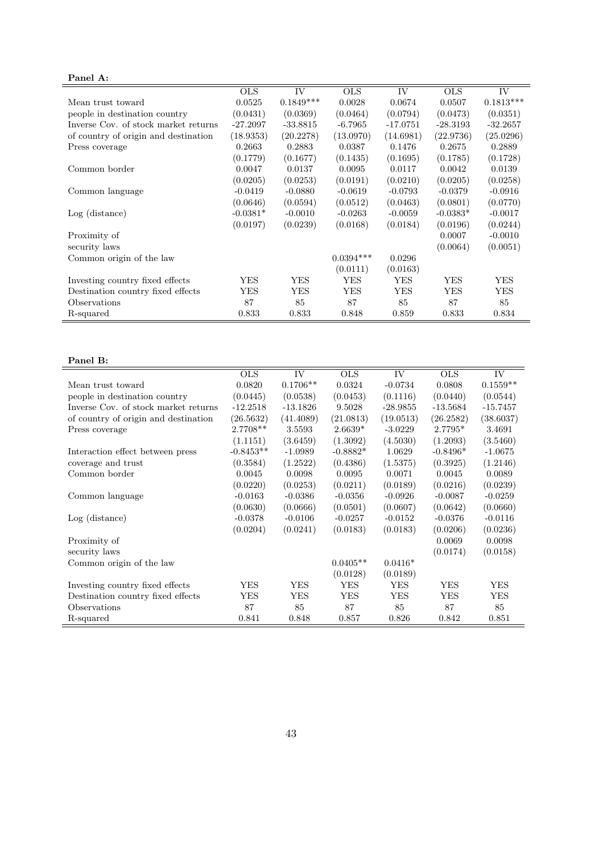## Panel A:

| 1 anu n.                             |            |             |             |            |            |             |
|--------------------------------------|------------|-------------|-------------|------------|------------|-------------|
|                                      | <b>OLS</b> | IV          | <b>OLS</b>  | IV         | <b>OLS</b> | IV          |
| Mean trust toward                    | 0.0525     | $0.1849***$ | 0.0028      | 0.0674     | 0.0507     | $0.1813***$ |
| people in destination country        | (0.0431)   | (0.0369)    | (0.0464)    | (0.0794)   | (0.0473)   | (0.0351)    |
| Inverse Cov. of stock market returns | $-27.2097$ | $-33.8815$  | $-6.7965$   | $-17.0751$ | $-28.3193$ | $-32.2657$  |
| of country of origin and destination | (18.9353)  | (20.2278)   | (13.0970)   | (14.6981)  | (22.9736)  | (25.0296)   |
| Press coverage                       | 0.2663     | 0.2883      | 0.0387      | 0.1476     | 0.2675     | 0.2889      |
|                                      | (0.1779)   | (0.1677)    | (0.1435)    | (0.1695)   | (0.1785)   | (0.1728)    |
| Common border                        | 0.0047     | 0.0137      | 0.0095      | 0.0117     | 0.0042     | 0.0139      |
|                                      | (0.0205)   | (0.0253)    | (0.0191)    | (0.0210)   | (0.0205)   | (0.0258)    |
| Common language                      | $-0.0419$  | $-0.0880$   | $-0.0619$   | $-0.0793$  | $-0.0379$  | $-0.0916$   |
|                                      | (0.0646)   | (0.0594)    | (0.0512)    | (0.0463)   | (0.0801)   | (0.0770)    |
| $Log$ (distance)                     | $-0.0381*$ | $-0.0010$   | $-0.0263$   | $-0.0059$  | $-0.0383*$ | $-0.0017$   |
|                                      | (0.0197)   | (0.0239)    | (0.0168)    | (0.0184)   | (0.0196)   | (0.0244)    |
| Proximity of                         |            |             |             |            | 0.0007     | $-0.0010$   |
| security laws                        |            |             |             |            | (0.0064)   | (0.0051)    |
| Common origin of the law             |            |             | $0.0394***$ | 0.0296     |            |             |
|                                      |            |             | (0.0111)    | (0.0163)   |            |             |
| Investing country fixed effects      | YES        | <b>YES</b>  | <b>YES</b>  | YES        | YES        | YES         |
| Destination country fixed effects    | YES        | YES         | YES         | YES        | YES        | YES         |
| Observations                         | 87         | 85          | 87          | 85         | 87         | 85          |
| R-squared                            | 0.833      | 0.833       | 0.848       | 0.859      | 0.833      | 0.834       |

#### Panel B:

|                                      | <b>OLS</b>  | IV         | <b>OLS</b> | IV         | <b>OLS</b> | IV         |
|--------------------------------------|-------------|------------|------------|------------|------------|------------|
| Mean trust toward                    | 0.0820      | $0.1706**$ | 0.0324     | $-0.0734$  | 0.0808     | $0.1559**$ |
| people in destination country        | (0.0445)    | (0.0538)   | (0.0453)   | (0.1116)   | (0.0440)   | (0.0544)   |
| Inverse Cov. of stock market returns | $-12.2518$  | $-13.1826$ | 9.5028     | $-28.9855$ | $-13.5684$ | $-15.7457$ |
| of country of origin and destination | (26.5632)   | (41.4089)  | (21.0813)  | (19.0513)  | (26.2582)  | (38.6037)  |
| Press coverage                       | 2.7708**    | 3.5593     | $2.6639*$  | $-3.0229$  | $2.7795*$  | 3.4691     |
|                                      | (1.1151)    | (3.6459)   | (1.3092)   | (4.5030)   | (1.2093)   | (3.5460)   |
| Interaction effect between press     | $-0.8453**$ | $-1.0989$  | $-0.8882*$ | 1.0629     | $-0.8496*$ | $-1.0675$  |
| coverage and trust                   | (0.3584)    | (1.2522)   | (0.4386)   | (1.5375)   | (0.3925)   | (1.2146)   |
| Common border                        | 0.0045      | 0.0098     | 0.0095     | 0.0071     | 0.0045     | 0.0089     |
|                                      | (0.0220)    | (0.0253)   | (0.0211)   | (0.0189)   | (0.0216)   | (0.0239)   |
| Common language                      | $-0.0163$   | $-0.0386$  | $-0.0356$  | $-0.0926$  | $-0.0087$  | $-0.0259$  |
|                                      | (0.0630)    | (0.0666)   | (0.0501)   | (0.0607)   | (0.0642)   | (0.0660)   |
| $Log$ (distance)                     | $-0.0378$   | $-0.0106$  | $-0.0257$  | $-0.0152$  | $-0.0376$  | $-0.0116$  |
|                                      | (0.0204)    | (0.0241)   | (0.0183)   | (0.0183)   | (0.0206)   | (0.0236)   |
| Proximity of                         |             |            |            |            | 0.0069     | 0.0098     |
| security laws                        |             |            |            |            | (0.0174)   | (0.0158)   |
| Common origin of the law             |             |            | $0.0405**$ | $0.0416*$  |            |            |
|                                      |             |            | (0.0128)   | (0.0189)   |            |            |
| Investing country fixed effects      | <b>YES</b>  | <b>YES</b> | <b>YES</b> | <b>YES</b> | <b>YES</b> | <b>YES</b> |
| Destination country fixed effects    | YES         | <b>YES</b> | <b>YES</b> | YES        | YES        | <b>YES</b> |
| Observations                         | 87          | 85         | 87         | 85         | 87         | 85         |
| R-squared                            | 0.841       | 0.848      | 0.857      | 0.826      | 0.842      | 0.851      |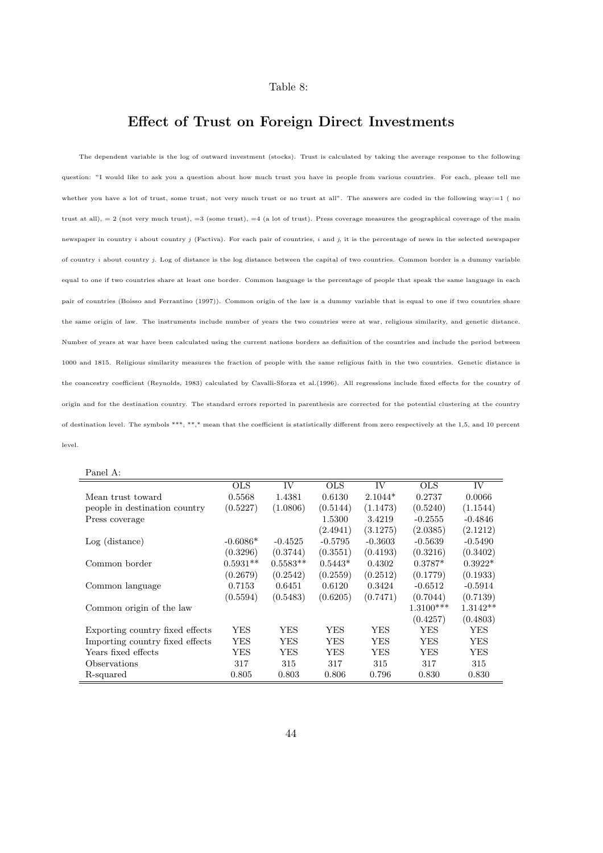#### Table 8:

## Effect of Trust on Foreign Direct Investments

The dependent variable is the log of outward investment (stocks). Trust is calculated by taking the average response to the following question: "I would like to ask you a question about how much trust you have in people from various countries. For each, please tell me whether you have a lot of trust, some trust, not very much trust or no trust at all". The answers are coded in the following way:=1 ( no trust at all),  $= 2$  (not very much trust),  $=3$  (some trust),  $=4$  (a lot of trust). Press coverage measures the geographical coverage of the main newspaper in country i about country j (Factiva). For each pair of countries, i and j, it is the percentage of news in the selected newspaper of country i about country j. Log of distance is the log distance between the capital of two countries. Common border is a dummy variable equal to one if two countries share at least one border. Common language is the percentage of people that speak the same language in each pair of countries (Boisso and Ferrantino (1997)). Common origin of the law is a dummy variable that is equal to one if two countries share the same origin of law. The instruments include number of years the two countries were at war, religious similarity, and genetic distance. Number of years at war have been calculated using the current nations borders as definition of the countries and include the period between 1000 and 1815. Religious similarity measures the fraction of people with the same religious faith in the two countries. Genetic distance is the coancestry coefficient (Reynolds, 1983) calculated by Cavalli-Sforza et al.(1996). All regressions include fixed effects for the country of origin and for the destination country. The standard errors reported in parenthesis are corrected for the potential clustering at the country of destination level. The symbols \*\*\*, \*\*,\* mean that the coefficient is statistically different from zero respectively at the 1,5, and 10 percent level.

| anet |  |
|------|--|
|      |  |

|                                 | <b>OLS</b> | <b>IV</b>  | <b>OLS</b> | <b>IV</b> | <b>OLS</b>  | <b>IV</b>  |
|---------------------------------|------------|------------|------------|-----------|-------------|------------|
| Mean trust toward               | 0.5568     | 1.4381     | 0.6130     | $2.1044*$ | 0.2737      | 0.0066     |
| people in destination country   | (0.5227)   | (1.0806)   | (0.5144)   | (1.1473)  | (0.5240)    | (1.1544)   |
| Press coverage                  |            |            | 1.5300     | 3.4219    | $-0.2555$   | $-0.4846$  |
|                                 |            |            | (2.4941)   | (3.1275)  | (2.0385)    | (2.1212)   |
| $Log$ (distance)                | $-0.6086*$ | $-0.4525$  | $-0.5795$  | $-0.3603$ | $-0.5639$   | $-0.5490$  |
|                                 | (0.3296)   | (0.3744)   | (0.3551)   | (0.4193)  | (0.3216)    | (0.3402)   |
| Common border                   | $0.5931**$ | $0.5583**$ | $0.5443*$  | 0.4302    | $0.3787*$   | $0.3922*$  |
|                                 | (0.2679)   | (0.2542)   | (0.2559)   | (0.2512)  | (0.1779)    | (0.1933)   |
| Common language                 | 0.7153     | 0.6451     | 0.6120     | 0.3424    | $-0.6512$   | $-0.5914$  |
|                                 | (0.5594)   | (0.5483)   | (0.6205)   | (0.7471)  | (0.7044)    | (0.7139)   |
| Common origin of the law        |            |            |            |           | $1.3100***$ | $1.3142**$ |
|                                 |            |            |            |           | (0.4257)    | (0.4803)   |
| Exporting country fixed effects | YES.       | YES        | YES        | YES       | YES         | YES        |
| Importing country fixed effects | YES        | YES        | YES        | YES       | YES         | YES        |
| Years fixed effects             | YES        | YES        | YES        | YES       | YES         | YES        |
| Observations                    | 317        | 315        | 317        | 315       | 317         | 315        |
| R-squared                       | 0.805      | 0.803      | 0.806      | 0.796     | 0.830       | 0.830      |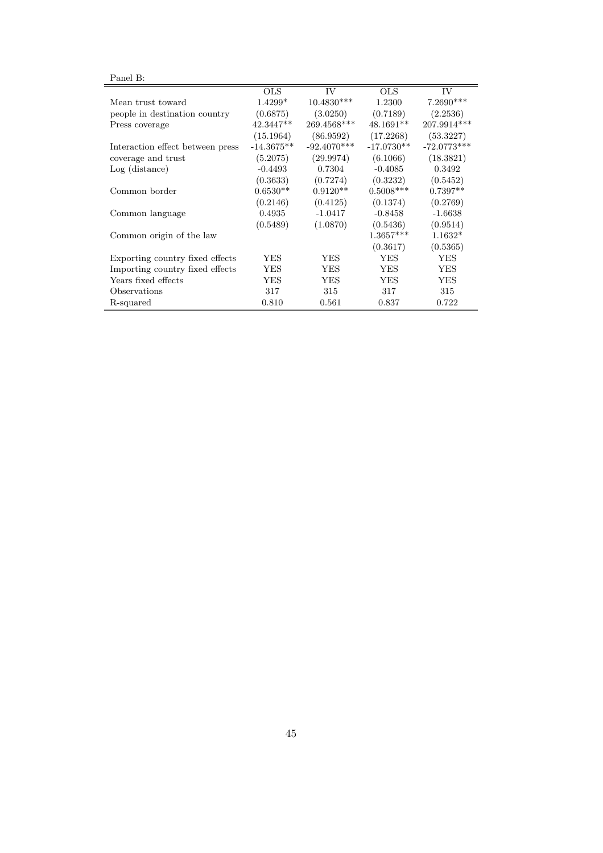| 'anet |  |
|-------|--|
|-------|--|

| ғашен в:                         |              |               |              |               |
|----------------------------------|--------------|---------------|--------------|---------------|
|                                  | <b>OLS</b>   | IV            | <b>OLS</b>   | IV            |
| Mean trust toward                | $1.4299*$    | $10.4830***$  | 1.2300       | 7.2690***     |
| people in destination country    | (0.6875)     | (3.0250)      | (0.7189)     | (2.2536)      |
| Press coverage                   | $42.3447**$  | 269.4568***   | $48.1691**$  | 207.9914 ***  |
|                                  | (15.1964)    | (86.9592)     | (17.2268)    | (53.3227)     |
| Interaction effect between press | $-14.3675**$ | $-92.4070***$ | $-17.0730**$ | $-72.0773***$ |
| coverage and trust               | (5.2075)     | (29.9974)     | (6.1066)     | (18.3821)     |
| $Log$ (distance)                 | $-0.4493$    | 0.7304        | $-0.4085$    | 0.3492        |
|                                  | (0.3633)     | (0.7274)      | (0.3232)     | (0.5452)      |
| Common border                    | $0.6530**$   | $0.9120**$    | $0.5008***$  | $0.7397**$    |
|                                  | (0.2146)     | (0.4125)      | (0.1374)     | (0.2769)      |
| Common language                  | 0.4935       | $-1.0417$     | $-0.8458$    | $-1.6638$     |
|                                  | (0.5489)     | (1.0870)      | (0.5436)     | (0.9514)      |
| Common origin of the law         |              |               | $1.3657***$  | $1.1632*$     |
|                                  |              |               | (0.3617)     | (0.5365)      |
| Exporting country fixed effects  | YES          | YES           | <b>YES</b>   | <b>YES</b>    |
| Importing country fixed effects  | YES          | YES           | YES          | YES           |
| Years fixed effects              | YES          | YES           | YES          | YES           |
| Observations                     | 317          | 315           | 317          | 315           |
| R-squared                        | 0.810        | 0.561         | 0.837        | 0.722         |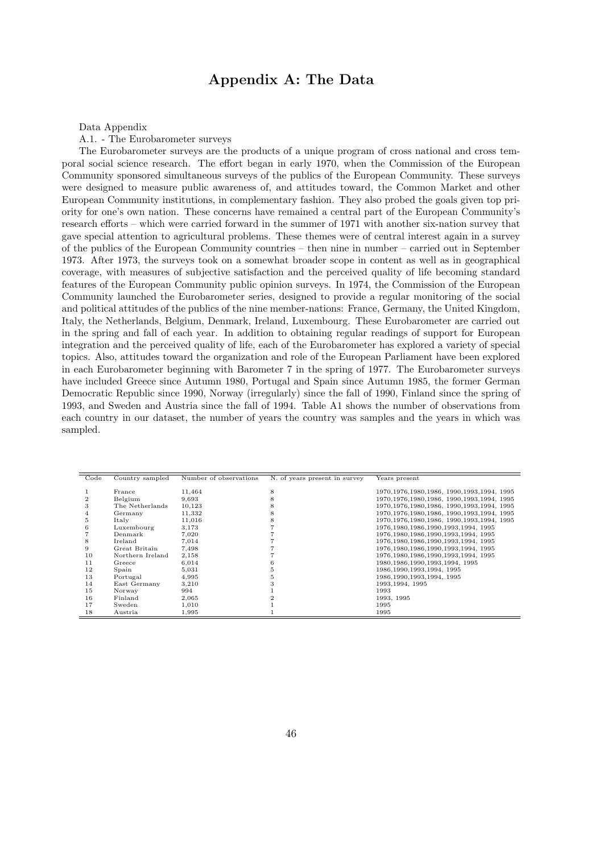## Appendix A: The Data

Data Appendix

A.1. - The Eurobarometer surveys

The Eurobarometer surveys are the products of a unique program of cross national and cross temporal social science research. The effort began in early 1970, when the Commission of the European Community sponsored simultaneous surveys of the publics of the European Community. These surveys were designed to measure public awareness of, and attitudes toward, the Common Market and other European Community institutions, in complementary fashion. They also probed the goals given top priority for one's own nation. These concerns have remained a central part of the European Community's research efforts – which were carried forward in the summer of 1971 with another six-nation survey that gave special attention to agricultural problems. These themes were of central interest again in a survey of the publics of the European Community countries – then nine in number – carried out in September 1973. After 1973, the surveys took on a somewhat broader scope in content as well as in geographical coverage, with measures of subjective satisfaction and the perceived quality of life becoming standard features of the European Community public opinion surveys. In 1974, the Commission of the European Community launched the Eurobarometer series, designed to provide a regular monitoring of the social and political attitudes of the publics of the nine member-nations: France, Germany, the United Kingdom, Italy, the Netherlands, Belgium, Denmark, Ireland, Luxembourg. These Eurobarometer are carried out in the spring and fall of each year. In addition to obtaining regular readings of support for European integration and the perceived quality of life, each of the Eurobarometer has explored a variety of special topics. Also, attitudes toward the organization and role of the European Parliament have been explored in each Eurobarometer beginning with Barometer 7 in the spring of 1977. The Eurobarometer surveys have included Greece since Autumn 1980, Portugal and Spain since Autumn 1985, the former German Democratic Republic since 1990, Norway (irregularly) since the fall of 1990, Finland since the spring of 1993, and Sweden and Austria since the fall of 1994. Table A1 shows the number of observations from each country in our dataset, the number of years the country was samples and the years in which was sampled.

| Code | Country sampled  | Number of observations | N. of years present in survey | Years present                                  |
|------|------------------|------------------------|-------------------------------|------------------------------------------------|
|      |                  |                        |                               |                                                |
|      | France           | 11,464                 | 8                             | 1970, 1976, 1980, 1986, 1990, 1993, 1994, 1995 |
|      | Belgium          | 9,693                  | 8                             | 1970, 1976, 1980, 1986, 1990, 1993, 1994, 1995 |
| 3    | The Netherlands  | 10,123                 | 8                             | 1970, 1976, 1980, 1986, 1990, 1993, 1994, 1995 |
|      | Germany          | 11,332                 |                               | 1970.1976.1980.1986, 1990.1993.1994, 1995      |
| Ð.   | Italy            | 11,016                 | 8                             | 1970, 1976, 1980, 1986, 1990, 1993, 1994, 1995 |
| 6    | Luxembourg       | 3,173                  |                               | 1976, 1980, 1986, 1990, 1993, 1994, 1995       |
|      | Denmark          | 7,020                  |                               | 1976, 1980, 1986, 1990, 1993, 1994, 1995       |
| 8    | Ireland          | 7,014                  |                               | 1976, 1980, 1986, 1990, 1993, 1994, 1995       |
| 9    | Great Britain    | 7,498                  |                               | 1976, 1980, 1986, 1990, 1993, 1994, 1995       |
| 10   | Northern Ireland | 2,158                  |                               | 1976, 1980, 1986, 1990, 1993, 1994, 1995       |
| 11   | Greece           | 6,014                  | 6                             | 1980, 1986, 1990, 1993, 1994, 1995             |
| 12   | Spain            | 5,031                  | ь                             | 1986, 1990, 1993, 1994, 1995                   |
| 13   | Portugal         | 4,995                  | Ð.                            | 1986, 1990, 1993, 1994, 1995                   |
| 14   | East Germany     | 3,210                  |                               | 1993, 1994, 1995                               |
| 15   | Norway           | 994                    |                               | 1993                                           |
| 16   | Finland          | 2,065                  |                               | 1993, 1995                                     |
| 17   | Sweden           | 1,010                  |                               | 1995                                           |
| 18   | Austria          | 1,995                  |                               | 1995                                           |